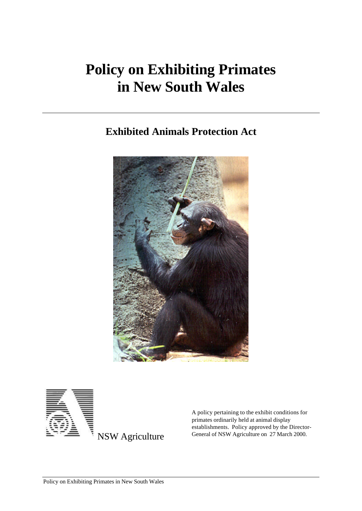# **Policy on Exhibiting Primates in New South Wales**

## **Exhibited Animals Protection Act**





A policy pertaining to the exhibit conditions for primates ordinarily held at animal display establishments. Policy approved by the Director-General of NSW Agriculture on 27 March 2000.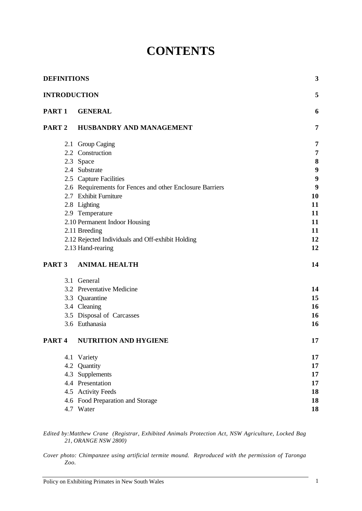# **CONTENTS**

|                                                                                                                                                                                                                                                   |                |                                                          | 3              |
|---------------------------------------------------------------------------------------------------------------------------------------------------------------------------------------------------------------------------------------------------|----------------|----------------------------------------------------------|----------------|
|                                                                                                                                                                                                                                                   |                |                                                          | 5              |
| <b>DEFINITIONS</b><br><b>INTRODUCTION</b><br>PART <sub>1</sub><br>PART <sub>2</sub><br>2.3 Space<br>2.4 Substrate<br>2.8 Lighting<br>2.11 Breeding<br>PART <sub>3</sub><br>3.1 General<br>3.4 Cleaning<br>PART <sub>4</sub><br>4.1 Variety<br>4.2 | <b>GENERAL</b> | 6                                                        |                |
|                                                                                                                                                                                                                                                   |                | HUSBANDRY AND MANAGEMENT                                 | $\overline{7}$ |
|                                                                                                                                                                                                                                                   |                | 2.1 Group Caging                                         | 7              |
|                                                                                                                                                                                                                                                   |                | 2.2 Construction                                         | $\overline{7}$ |
|                                                                                                                                                                                                                                                   |                |                                                          | 8              |
|                                                                                                                                                                                                                                                   |                |                                                          | 9              |
|                                                                                                                                                                                                                                                   |                | 2.5 Capture Facilities                                   | 9              |
|                                                                                                                                                                                                                                                   |                | 2.6 Requirements for Fences and other Enclosure Barriers | 9              |
|                                                                                                                                                                                                                                                   |                | 2.7 Exhibit Furniture                                    | 10             |
|                                                                                                                                                                                                                                                   |                |                                                          | 11             |
|                                                                                                                                                                                                                                                   |                | 2.9 Temperature                                          | 11             |
|                                                                                                                                                                                                                                                   |                | 2.10 Permanent Indoor Housing                            | 11             |
|                                                                                                                                                                                                                                                   |                |                                                          | 11             |
|                                                                                                                                                                                                                                                   |                | 2.12 Rejected Individuals and Off-exhibit Holding        | 12             |
|                                                                                                                                                                                                                                                   |                | 2.13 Hand-rearing                                        | 12             |
|                                                                                                                                                                                                                                                   |                | <b>ANIMAL HEALTH</b>                                     | 14             |
|                                                                                                                                                                                                                                                   |                |                                                          |                |
|                                                                                                                                                                                                                                                   |                | 3.2 Preventative Medicine                                | 14             |
|                                                                                                                                                                                                                                                   |                | 3.3 Quarantine                                           | 15             |
|                                                                                                                                                                                                                                                   |                |                                                          | 16             |
|                                                                                                                                                                                                                                                   |                | 3.5 Disposal of Carcasses                                | 16             |
|                                                                                                                                                                                                                                                   |                | 3.6 Euthanasia                                           | 16             |
|                                                                                                                                                                                                                                                   |                | <b>NUTRITION AND HYGIENE</b>                             | 17             |
|                                                                                                                                                                                                                                                   |                |                                                          | 17             |
|                                                                                                                                                                                                                                                   |                | Quantity                                                 | 17             |
|                                                                                                                                                                                                                                                   | 4.3            | Supplements                                              | 17             |
|                                                                                                                                                                                                                                                   |                | 4.4 Presentation                                         | 17             |
|                                                                                                                                                                                                                                                   |                | 4.5 Activity Feeds                                       | 18             |
|                                                                                                                                                                                                                                                   |                | 4.6 Food Preparation and Storage                         | 18             |
|                                                                                                                                                                                                                                                   |                | 4.7 Water                                                | 18             |
|                                                                                                                                                                                                                                                   |                |                                                          |                |

*Edited by:Matthew Crane (Registrar, Exhibited Animals Protection Act, NSW Agriculture, Locked Bag 21, ORANGE NSW 2800)*

*Cover photo: Chimpanzee using artificial termite mound. Reproduced with the permission of Taronga Zoo.*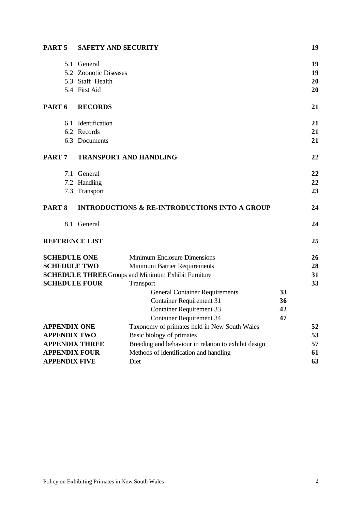| PART <sub>5</sub>   | <b>SAFETY AND SECURITY</b> |                                                            | 19 |
|---------------------|----------------------------|------------------------------------------------------------|----|
|                     | 5.1 General                |                                                            | 19 |
|                     | 5.2 Zoonotic Diseases      |                                                            | 19 |
|                     | 5.3 Staff Health           |                                                            | 20 |
|                     | 5.4 First Aid              |                                                            | 20 |
| PART <sub>6</sub>   | <b>RECORDS</b>             |                                                            | 21 |
|                     | 6.1 Identification         |                                                            | 21 |
|                     | 6.2 Records                |                                                            | 21 |
|                     | 6.3 Documents              |                                                            | 21 |
| PART <sub>7</sub>   |                            | <b>TRANSPORT AND HANDLING</b>                              | 22 |
|                     | 7.1 General                |                                                            | 22 |
|                     | 7.2 Handling               |                                                            | 22 |
|                     | 7.3 Transport              |                                                            | 23 |
| PART <sub>8</sub>   |                            | <b>INTRODUCTIONS &amp; RE-INTRODUCTIONS INTO A GROUP</b>   | 24 |
|                     | 8.1 General                |                                                            | 24 |
|                     | <b>REFERENCE LIST</b>      |                                                            | 25 |
|                     | <b>SCHEDULE ONE</b>        | <b>Minimum Enclosure Dimensions</b>                        | 26 |
|                     | <b>SCHEDULE TWO</b>        | Minimum Barrier Requirements                               | 28 |
|                     |                            | <b>SCHEDULE THREE Groups and Minimum Exhibit Furniture</b> | 31 |
|                     | <b>SCHEDULE FOUR</b>       | Transport                                                  | 33 |
|                     |                            | <b>General Container Requirements</b>                      | 33 |
|                     |                            | <b>Container Requirement 31</b>                            | 36 |
|                     |                            | <b>Container Requirement 33</b>                            | 42 |
|                     |                            | <b>Container Requirement 34</b>                            | 47 |
| <b>APPENDIX ONE</b> |                            | Taxonomy of primates held in New South Wales               | 52 |
|                     | <b>APPENDIX TWO</b>        | Basic biology of primates                                  | 53 |
|                     | <b>APPENDIX THREE</b>      | Breeding and behaviour in relation to exhibit design       | 57 |
|                     | <b>APPENDIX FOUR</b>       | Methods of identification and handling                     | 61 |
|                     | <b>APPENDIX FIVE</b>       | Diet                                                       | 63 |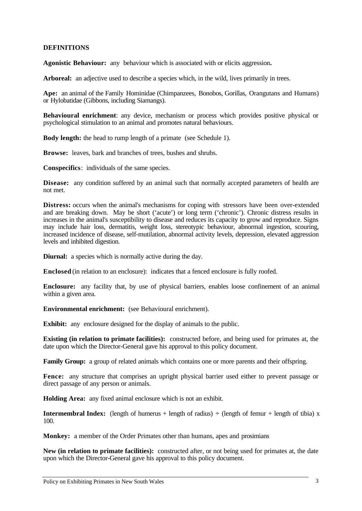#### **DEFINITIONS**

**Agonistic Behaviour:** any behaviour which is associated with or elicits aggression**.**

**Arboreal:** an adjective used to describe a species which, in the wild, lives primarily in trees.

**Ape:** an animal of the Family Hominidae (Chimpanzees, Bonobos, Gorillas, Orangutans and Humans) or Hylobatidae (Gibbons, including Siamangs).

**Behavioural enrichment**: any device, mechanism or process which provides positive physical or psychological stimulation to an animal and promotes natural behaviours.

**Body length:** the head to rump length of a primate (see Schedule 1).

**Browse:** leaves, bark and branches of trees, bushes and shrubs.

**Conspecifics**: individuals of the same species.

**Disease:** any condition suffered by an animal such that normally accepted parameters of health are not met.

**Distress:** occurs when the animal's mechanisms for coping with stressors have been over-extended and are breaking down. May be short ('acute') or long term ('chronic'). Chronic distress results in increases in the animal's susceptibility to disease and reduces its capacity to grow and reproduce. Signs may include hair loss, dermatitis, weight loss, stereotypic behaviour, abnormal ingestion, scouring, increased incidence of disease, self-mutilation, abnormal activity levels, depression, elevated aggression levels and inhibited digestion.

**Diurnal:** a species which is normally active during the day.

**Enclosed** (in relation to an enclosure): indicates that a fenced enclosure is fully roofed.

**Enclosure:** any facility that, by use of physical barriers, enables loose confinement of an animal within a given area.

**Environmental enrichment:** (see Behavioural enrichment).

**Exhibit:** any enclosure designed for the display of animals to the public.

**Existing (in relation to primate facilities):** constructed before, and being used for primates at, the date upon which the Director-General gave his approval to this policy document.

Family Group: a group of related animals which contains one or more parents and their offspring.

**Fence:** any structure that comprises an upright physical barrier used either to prevent passage or direct passage of any person or animals.

**Holding Area:** any fixed animal enclosure which is not an exhibit.

**Intermembral Index:** (length of humerus + length of radius)  $\div$  (length of femur + length of tibia) x 100.

**Monkey:** a member of the Order Primates other than humans, apes and prosimians

**New (in relation to primate facilities):** constructed after, or not being used for primates at, the date upon which the Director-General gave his approval to this policy document.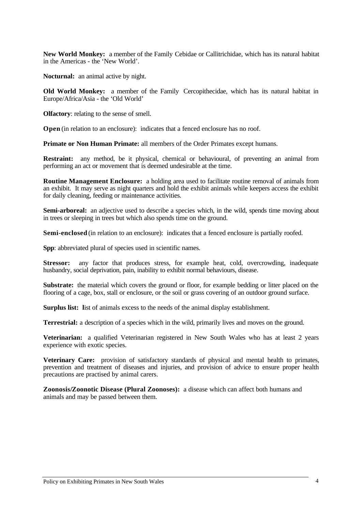**New World Monkey:** a member of the Family Cebidae or Callitrichidae, which has its natural habitat in the Americas - the 'New World'.

**Nocturnal:** an animal active by night.

**Old World Monkey:** a member of the Family Cercopithecidae, which has its natural habitat in Europe/Africa/Asia - the 'Old World'

**Olfactory**: relating to the sense of smell.

**Open** (in relation to an enclosure): indicates that a fenced enclosure has no roof.

**Primate or Non Human Primate:** all members of the Order Primates except humans.

**Restraint:** any method, be it physical, chemical or behavioural, of preventing an animal from performing an act or movement that is deemed undesirable at the time.

**Routine Management Enclosure:** a holding area used to facilitate routine removal of animals from an exhibit. It may serve as night quarters and hold the exhibit animals while keepers access the exhibit for daily cleaning, feeding or maintenance activities.

**Semi-arboreal:** an adjective used to describe a species which, in the wild, spends time moving about in trees or sleeping in trees but which also spends time on the ground.

**Semi-enclosed** (in relation to an enclosure): indicates that a fenced enclosure is partially roofed.

Spp: abbreviated plural of species used in scientific names.

**Stressor:** any factor that produces stress, for example heat, cold, overcrowding, inadequate husbandry, social deprivation, pain, inability to exhibit normal behaviours, disease.

**Substrate:** the material which covers the ground or floor, for example bedding or litter placed on the flooring of a cage, box, stall or enclosure, or the soil or grass covering of an outdoor ground surface.

**Surplus list:** list of animals excess to the needs of the animal display establishment.

**Terrestrial:** a description of a species which in the wild, primarily lives and moves on the ground.

**Veterinarian:** a qualified Veterinarian registered in New South Wales who has at least 2 years experience with exotic species.

**Veterinary Care:** provision of satisfactory standards of physical and mental health to primates, prevention and treatment of diseases and injuries, and provision of advice to ensure proper health precautions are practised by animal carers.

**Zoonosis/Zoonotic Disease (Plural Zoonoses):** a disease which can affect both humans and animals and may be passed between them.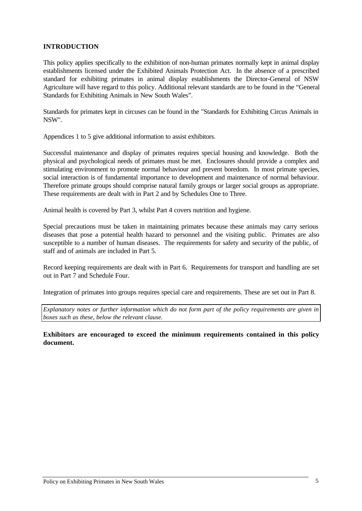### **INTRODUCTION**

This policy applies specifically to the exhibition of non-human primates normally kept in animal display establishments licensed under the Exhibited Animals Protection Act. In the absence of a prescribed standard for exhibiting primates in animal display establishments the Director-General of NSW Agriculture will have regard to this policy. Additional relevant standards are to be found in the "General Standards for Exhibiting Animals in New South Wales".

Standards for primates kept in circuses can be found in the "Standards for Exhibiting Circus Animals in NSW".

Appendices 1 to 5 give additional information to assist exhibitors.

Successful maintenance and display of primates requires special housing and knowledge. Both the physical and psychological needs of primates must be met. Enclosures should provide a complex and stimulating environment to promote normal behaviour and prevent boredom. In most primate species, social interaction is of fundamental importance to development and maintenance of normal behaviour. Therefore primate groups should comprise natural family groups or larger social groups as appropriate. These requirements are dealt with in Part 2 and by Schedules One to Three.

Animal health is covered by Part 3, whilst Part 4 covers nutrition and hygiene.

Special precautions must be taken in maintaining primates because these animals may carry serious diseases that pose a potential health hazard to personnel and the visiting public. Primates are also susceptible to a number of human diseases. The requirements for safety and security of the public, of staff and of animals are included in Part 5.

Record keeping requirements are dealt with in Part 6. Requirements for transport and handling are set out in Part 7 and Schedule Four.

Integration of primates into groups requires special care and requirements. These are set out in Part 8.

*Explanatory notes or further information which do not form part of the policy requirements are given in boxes such as these, below the relevant clause.*

**Exhibitors are encouraged to exceed the minimum requirements contained in this policy document.**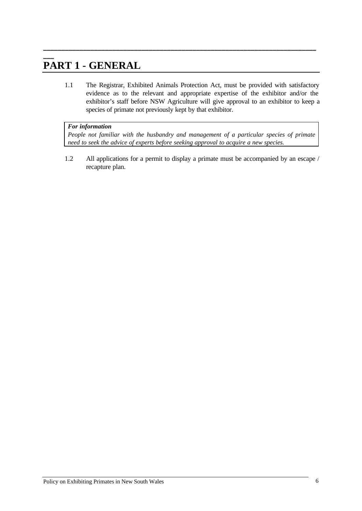### $\overline{\phantom{a}}$ **PART 1 - GENERAL**

1.1 The Registrar, Exhibited Animals Protection Act, must be provided with satisfactory evidence as to the relevant and appropriate expertise of the exhibitor and/or the exhibitor's staff before NSW Agriculture will give approval to an exhibitor to keep a species of primate not previously kept by that exhibitor.

\_\_\_\_\_\_\_\_\_\_\_\_\_\_\_\_\_\_\_\_\_\_\_\_\_\_\_\_\_\_\_\_\_\_\_\_\_\_\_\_\_\_\_\_\_\_\_\_\_\_\_\_\_\_\_\_\_\_\_\_\_\_\_\_\_\_\_\_\_\_\_\_\_\_\_

### *For information*

*People not familiar with the husbandry and management of a particular species of primate need to seek the advice of experts before seeking approval to acquire a new species.*

1.2 All applications for a permit to display a primate must be accompanied by an escape / recapture plan.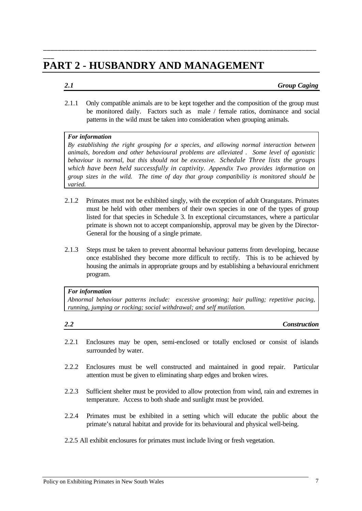## **PART 2 - HUSBANDRY AND MANAGEMENT**

#### *2.1 Group Caging*

2.1.1 Only compatible animals are to be kept together and the composition of the group must be monitored daily. Factors such as male / female ratios, dominance and social patterns in the wild must be taken into consideration when grouping animals.

**\_\_\_\_\_\_\_\_\_\_\_\_\_\_\_\_\_\_\_\_\_\_\_\_\_\_\_\_\_\_\_\_\_\_\_\_\_\_\_\_\_\_\_\_\_\_\_\_\_\_\_\_\_\_\_\_\_\_\_\_\_\_\_\_\_\_\_\_\_\_\_\_\_\_\_**

#### *For information*

**\_\_\_**

*By establishing the right grouping for a species, and allowing normal interaction between animals, boredom and other behavioural problems are alleviated . Some level of agonistic behaviour is normal, but this should not be excessive. Schedule Three lists the groups which have been held successfully in captivity. Appendix Two provides information on group sizes in the wild. The time of day that group compatibility is monitored should be varied.*

- 2.1.2 Primates must not be exhibited singly, with the exception of adult Orangutans. Primates must be held with other members of their own species in one of the types of group listed for that species in Schedule 3. In exceptional circumstances, where a particular primate is shown not to accept companionship, approval may be given by the Director-General for the housing of a single primate.
- 2.1.3 Steps must be taken to prevent abnormal behaviour patterns from developing, because once established they become more difficult to rectify. This is to be achieved by housing the animals in appropriate groups and by establishing a behavioural enrichment program.

#### *For information*

*Abnormal behaviour patterns include: excessive grooming; hair pulling; repetitive pacing, running, jumping or rocking; social withdrawal; and self mutilation.*

| 2.2 | <b>Construction</b> |
|-----|---------------------|
|     |                     |

- 2.2.1 Enclosures may be open, semi-enclosed or totally enclosed or consist of islands surrounded by water.
- 2.2.2 Enclosures must be well constructed and maintained in good repair. Particular attention must be given to eliminating sharp edges and broken wires.
- 2.2.3 Sufficient shelter must be provided to allow protection from wind, rain and extremes in temperature. Access to both shade and sunlight must be provided.
- 2.2.4 Primates must be exhibited in a setting which will educate the public about the primate's natural habitat and provide for its behavioural and physical well-being.

#### 2.2.5 All exhibit enclosures for primates must include living or fresh vegetation.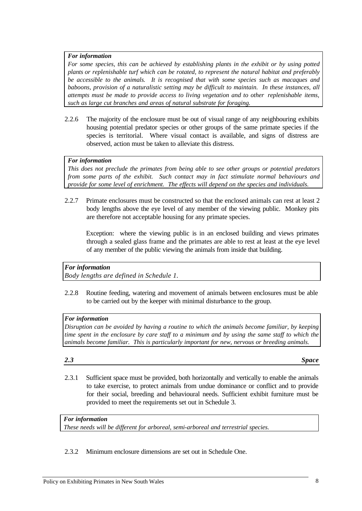*For some species, this can be achieved by establishing plants in the exhibit or by using potted plants or replenishable turf which can be rotated, to represent the natural habitat and preferably be accessible to the animals. It is recognised that with some species such as macaques and baboons, provision of a naturalistic setting may be difficult to maintain. In these instances, all attempts must be made to provide access to living vegetation and to other replenishable items, such as large cut branches and areas of natural substrate for foraging.*

2.2.6 The majority of the enclosure must be out of visual range of any neighbouring exhibits housing potential predator species or other groups of the same primate species if the species is territorial. Where visual contact is available, and signs of distress are observed, action must be taken to alleviate this distress.

#### *For information*

*This does not preclude the primates from being able to see other groups or potential predators from some parts of the exhibit. Such contact may in fact stimulate normal behaviours and provide for some level of enrichment. The effects will depend on the species and individuals.*

2.2.7 Primate enclosures must be constructed so that the enclosed animals can rest at least 2 body lengths above the eye level of any member of the viewing public. Monkey pits are therefore not acceptable housing for any primate species.

Exception: where the viewing public is in an enclosed building and views primates through a sealed glass frame and the primates are able to rest at least at the eye level of any member of the public viewing the animals from inside that building.

### *For information*

*Body lengths are defined in Schedule 1.*

2.2.8 Routine feeding, watering and movement of animals between enclosures must be able to be carried out by the keeper with minimal disturbance to the group.

#### *For information*

*Disruption can be avoided by having a routine to which the animals become familiar, by keeping time spent in the enclosure by care staff to a minimum and by using the same staff to which the animals become familiar. This is particularly important for new, nervous or breeding animals.*

*2.3 Space*

2.3.1 Sufficient space must be provided, both horizontally and vertically to enable the animals to take exercise, to protect animals from undue dominance or conflict and to provide for their social, breeding and behavioural needs. Sufficient exhibit furniture must be provided to meet the requirements set out in Schedule 3.

*For information*

*These needs will be different for arboreal, semi-arboreal and terrestrial species.*

2.3.2 Minimum enclosure dimensions are set out in Schedule One.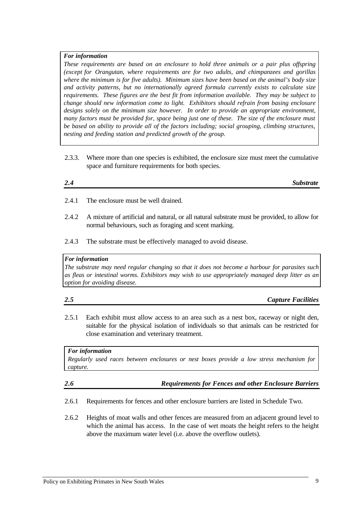*These requirements are based on an enclosure to hold three animals or a pair plus offspring (except for Orangutan, where requirements are for two adults, and chimpanzees and gorillas where the minimum is for five adults). Minimum sizes have been based on the animal's body size and activity patterns, but no internationally agreed formula currently exists to calculate size requirements. These figures are the best fit from information available. They may be subject to change should new information come to light. Exhibitors should refrain from basing enclosure designs solely on the minimum size however. In order to provide an appropriate environment, many factors must be provided for, space being just one of these. The size of the enclosure must be based on ability to provide all of the factors including; social grouping, climbing structures, nesting and feeding station and predicted growth of the group.*

2.3.3. Where more than one species is exhibited, the enclosure size must meet the cumulative space and furniture requirements for both species.

| 2.4<br><b>Substrate</b> |
|-------------------------|
|-------------------------|

- 2.4.1 The enclosure must be well drained.
- 2.4.2 A mixture of artificial and natural, or all natural substrate must be provided, to allow for normal behaviours, such as foraging and scent marking.
- 2.4.3 The substrate must be effectively managed to avoid disease.

#### *For information*

*The substrate may need regular changing so that it does not become a harbour for parasites such as fleas or intestinal worms. Exhibitors may wish to use appropriately managed deep litter as an option for avoiding disease.*

#### *2.5 Capture Facilities*

2.5.1 Each exhibit must allow access to an area such as a nest box, raceway or night den, suitable for the physical isolation of individuals so that animals can be restricted for close examination and veterinary treatment.

*For information Regularly used races between enclosures or nest boxes provide a low stress mechanism for capture.*

### *2.6 Requirements for Fences and other Enclosure Barriers*

- 2.6.1 Requirements for fences and other enclosure barriers are listed in Schedule Two.
- 2.6.2 Heights of moat walls and other fences are measured from an adjacent ground level to which the animal has access. In the case of wet moats the height refers to the height above the maximum water level (i.e. above the overflow outlets).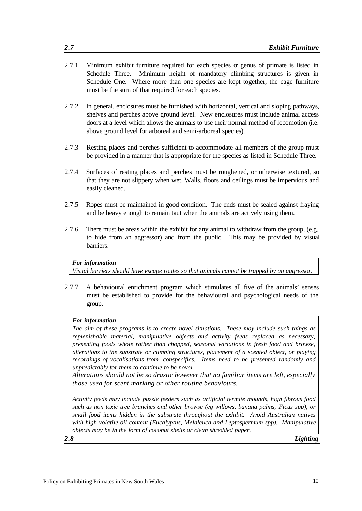- 2.7.1 Minimum exhibit furniture required for each species or genus of primate is listed in Schedule Three. Minimum height of mandatory climbing structures is given in Schedule One. Where more than one species are kept together, the cage furniture must be the sum of that required for each species.
- 2.7.2 In general, enclosures must be furnished with horizontal, vertical and sloping pathways, shelves and perches above ground level. New enclosures must include animal access doors at a level which allows the animals to use their normal method of locomotion (i.e. above ground level for arboreal and semi-arboreal species).
- 2.7.3 Resting places and perches sufficient to accommodate all members of the group must be provided in a manner that is appropriate for the species as listed in Schedule Three.
- 2.7.4 Surfaces of resting places and perches must be roughened, or otherwise textured, so that they are not slippery when wet. Walls, floors and ceilings must be impervious and easily cleaned.
- 2.7.5 Ropes must be maintained in good condition. The ends must be sealed against fraying and be heavy enough to remain taut when the animals are actively using them.
- 2.7.6 There must be areas within the exhibit for any animal to withdraw from the group, (e.g. to hide from an aggressor) and from the public. This may be provided by visual barriers.

*Visual barriers should have escape routes so that animals cannot be trapped by an aggressor.*

2.7.7 A behavioural enrichment program which stimulates all five of the animals' senses must be established to provide for the behavioural and psychological needs of the group.

#### *For information*

*The aim of these programs is to create novel situations. These may include such things as replenishable material, manipulative objects and activity feeds replaced as necessary, presenting foods whole rather than chopped, seasonal variations in fresh food and browse, alterations to the substrate or climbing structures, placement of a scented object, or playing recordings of vocalisations from conspecifics. Items need to be presented randomly and unpredictably for them to continue to be novel.*

*Alterations should not be so drastic however that no familiar items are left, especially those used for scent marking or other routine behaviours.*

*Activity feeds may include puzzle feeders such as artificial termite mounds, high fibrous food such as non toxic tree branches and other browse (eg willows, banana palms, Ficus spp), or small food items hidden in the substrate throughout the exhibit. Avoid Australian natives with high volatile oil content (Eucalyptus, Melaleuca and Leptospermum spp). Manipulative objects may be in the form of coconut shells or clean shredded paper.*

*2.8 Lighting*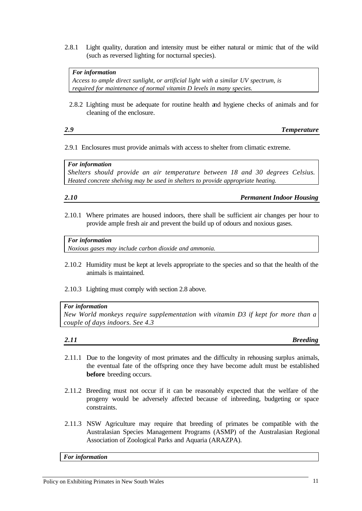2.8.1 Light quality, duration and intensity must be either natural or mimic that of the wild (such as reversed lighting for nocturnal species).

#### *For information*

*Access to ample direct sunlight, or artificial light with a similar UV spectrum, is required for maintenance of normal vitamin D levels in many species.*

2.8.2 Lighting must be adequate for routine health and hygiene checks of animals and for cleaning of the enclosure.

### *2.9 Temperature*

2.9.1 Enclosures must provide animals with access to shelter from climatic extreme.

*For information Shelters should provide an air temperature between 18 and 30 degrees Celsius. Heated concrete shelving may be used in shelters to provide appropriate heating.*

*2.10 Permanent Indoor Housing*

2.10.1 Where primates are housed indoors, there shall be sufficient air changes per hour to provide ample fresh air and prevent the build up of odours and noxious gases.

#### *For information*

*Noxious gases may include carbon dioxide and ammonia.*

- 2.10.2 Humidity must be kept at levels appropriate to the species and so that the health of the animals is maintained.
- 2.10.3 Lighting must comply with section 2.8 above.

#### *For information*

*New World monkeys require supplementation with vitamin D3 if kept for more than a couple of days indoors. See 4.3*

*2.11 Breeding*

- 2.11.1 Due to the longevity of most primates and the difficulty in rehousing surplus animals, the eventual fate of the offspring once they have become adult must be established **before** breeding occurs.
- 2.11.2 Breeding must not occur if it can be reasonably expected that the welfare of the progeny would be adversely affected because of inbreeding, budgeting or space constraints.
- 2.11.3 NSW Agriculture may require that breeding of primates be compatible with the Australasian Species Management Programs (ASMP) of the Australasian Regional Association of Zoological Parks and Aquaria (ARAZPA).

*For information*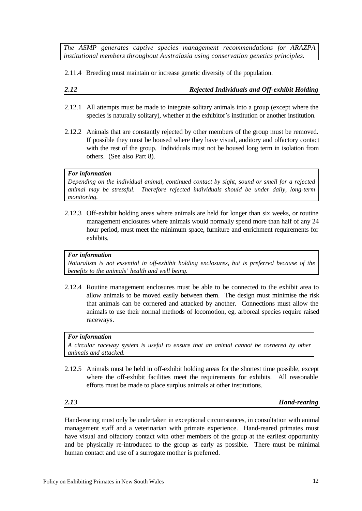*The ASMP generates captive species management recommendations for ARAZPA institutional members throughout Australasia using conservation genetics principles.*

2.11.4 Breeding must maintain or increase genetic diversity of the population.

### *2.12 Rejected Individuals and Off-exhibit Holding*

- 2.12.1 All attempts must be made to integrate solitary animals into a group (except where the species is naturally solitary), whether at the exhibitor's institution or another institution.
- 2.12.2 Animals that are constantly rejected by other members of the group must be removed. If possible they must be housed where they have visual, auditory and olfactory contact with the rest of the group. Individuals must not be housed long term in isolation from others. (See also Part 8).

#### *For information*

*Depending on the individual animal, continued contact by sight, sound or smell for a rejected animal may be stressful. Therefore rejected individuals should be under daily, long-term monitoring.*

2.12.3 Off-exhibit holding areas where animals are held for longer than six weeks, or routine management enclosures where animals would normally spend more than half of any 24 hour period, must meet the minimum space, furniture and enrichment requirements for exhibits.

#### *For information*

*Naturalism is not essential in off-exhibit holding enclosures, but is preferred because of the benefits to the animals' health and well being.*

2.12.4 Routine management enclosures must be able to be connected to the exhibit area to allow animals to be moved easily between them. The design must minimise the risk that animals can be cornered and attacked by another. Connections must allow the animals to use their normal methods of locomotion, eg. arboreal species require raised raceways.

#### *For information*

*A circular raceway system is useful to ensure that an animal cannot be cornered by other animals and attacked.*

2.12.5 Animals must be held in off-exhibit holding areas for the shortest time possible, except where the off-exhibit facilities meet the requirements for exhibits. All reasonable efforts must be made to place surplus animals at other institutions.

*2.13 Hand-rearing*

Hand-rearing must only be undertaken in exceptional circumstances, in consultation with animal management staff and a veterinarian with primate experience. Hand-reared primates must have visual and olfactory contact with other members of the group at the earliest opportunity and be physically re-introduced to the group as early as possible. There must be minimal human contact and use of a surrogate mother is preferred.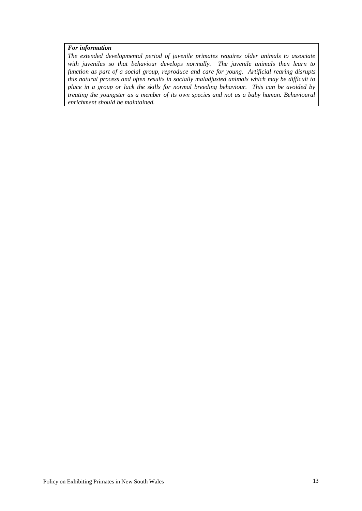*The extended developmental period of juvenile primates requires older animals to associate with juveniles so that behaviour develops normally. The juvenile animals then learn to function as part of a social group, reproduce and care for young. Artificial rearing disrupts this natural process and often results in socially maladjusted animals which may be difficult to place in a group or lack the skills for normal breeding behaviour. This can be avoided by treating the youngster as a member of its own species and not as a baby human. Behavioural enrichment should be maintained.*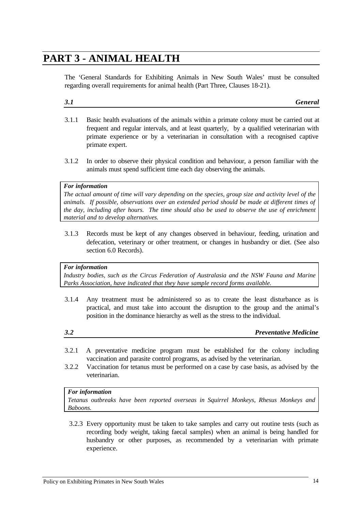## **PART 3 - ANIMAL HEALTH**

The 'General Standards for Exhibiting Animals in New South Wales' must be consulted regarding overall requirements for animal health (Part Three, Clauses 18-21).

## *3.1 General*

- 3.1.1 Basic health evaluations of the animals within a primate colony must be carried out at frequent and regular intervals, and at least quarterly, by a qualified veterinarian with primate experience or by a veterinarian in consultation with a recognised captive primate expert.
- 3.1.2 In order to observe their physical condition and behaviour, a person familiar with the animals must spend sufficient time each day observing the animals.

#### *For information*

*The actual amount of time will vary depending on the species, group size and activity level of the animals. If possible, observations over an extended period should be made at different times of the day, including after hours. The time should also be used to observe the use of enrichment material and to develop alternatives.*

3.1.3 Records must be kept of any changes observed in behaviour, feeding, urination and defecation, veterinary or other treatment, or changes in husbandry or diet. (See also section 6.0 Records).

#### *For information*

*Industry bodies, such as the Circus Federation of Australasia and the NSW Fauna and Marine Parks Association, have indicated that they have sample record forms available.*

- 3.1.4 Any treatment must be administered so as to create the least disturbance as is practical, and must take into account the disruption to the group and the animal's position in the dominance hierarchy as well as the stress to the individual.
- 

*3.2 Preventative Medicine*

- 3.2.1 A preventative medicine program must be established for the colony including vaccination and parasite control programs, as advised by the veterinarian.
- 3.2.2 Vaccination for tetanus must be performed on a case by case basis, as advised by the veterinarian.

#### *For information*

*Tetanus outbreaks have been reported overseas in Squirrel Monkeys, Rhesus Monkeys and Baboons.*

3.2.3 Every opportunity must be taken to take samples and carry out routine tests (such as recording body weight, taking faecal samples) when an animal is being handled for husbandry or other purposes, as recommended by a veterinarian with primate experience.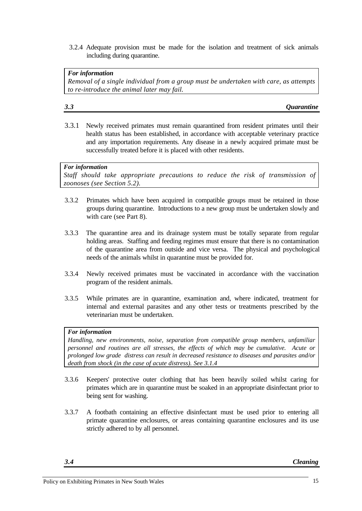3.2.4 Adequate provision must be made for the isolation and treatment of sick animals including during quarantine.

*For information Removal of a single individual from a group must be undertaken with care, as attempts to re-introduce the animal later may fail.*

### *3.3 Quarantine*

3.3.1 Newly received primates must remain quarantined from resident primates until their health status has been established, in accordance with acceptable veterinary practice and any importation requirements. Any disease in a newly acquired primate must be successfully treated before it is placed with other residents.

#### *For information*

*Staff should take appropriate precautions to reduce the risk of transmission of zoonoses (see Section 5.2).*

- 3.3.2 Primates which have been acquired in compatible groups must be retained in those groups during quarantine. Introductions to a new group must be undertaken slowly and with care (see Part 8).
- 3.3.3 The quarantine area and its drainage system must be totally separate from regular holding areas. Staffing and feeding regimes must ensure that there is no contamination of the quarantine area from outside and vice versa. The physical and psychological needs of the animals whilst in quarantine must be provided for.
- 3.3.4 Newly received primates must be vaccinated in accordance with the vaccination program of the resident animals.
- 3.3.5 While primates are in quarantine, examination and, where indicated, treatment for internal and external parasites and any other tests or treatments prescribed by the veterinarian must be undertaken.

#### *For information*

*Handling, new environments, noise, separation from compatible group members, unfamiliar personnel and routines are all stresses, the effects of which may be cumulative. Acute or prolonged low grade distress can result in decreased resistance to diseases and parasites and/or death from shock (in the case of acute distress). See 3.1.4*

- 3.3.6 Keepers' protective outer clothing that has been heavily soiled whilst caring for primates which are in quarantine must be soaked in an appropriate disinfectant prior to being sent for washing.
- 3.3.7 A footbath containing an effective disinfectant must be used prior to entering all primate quarantine enclosures, or areas containing quarantine enclosures and its use strictly adhered to by all personnel.

*3.4 Cleaning*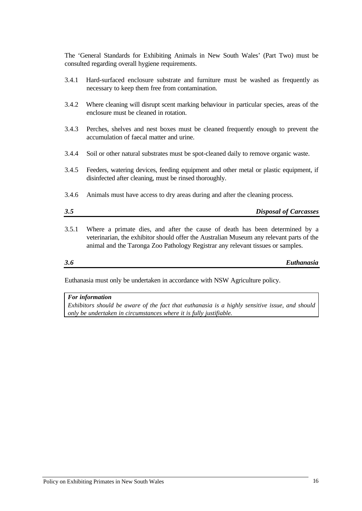The 'General Standards for Exhibiting Animals in New South Wales' (Part Two) must be consulted regarding overall hygiene requirements.

- 3.4.1 Hard-surfaced enclosure substrate and furniture must be washed as frequently as necessary to keep them free from contamination.
- 3.4.2 Where cleaning will disrupt scent marking behaviour in particular species, areas of the enclosure must be cleaned in rotation.
- 3.4.3 Perches, shelves and nest boxes must be cleaned frequently enough to prevent the accumulation of faecal matter and urine.
- 3.4.4 Soil or other natural substrates must be spot-cleaned daily to remove organic waste.
- 3.4.5 Feeders, watering devices, feeding equipment and other metal or plastic equipment, if disinfected after cleaning, must be rinsed thoroughly.
- 3.4.6 Animals must have access to dry areas during and after the cleaning process.

| 3.5 | <b>Disposal of Carcasses</b> |
|-----|------------------------------|
|     |                              |

3.5.1 Where a primate dies, and after the cause of death has been determined by a veterinarian, the exhibitor should offer the Australian Museum any relevant parts of the animal and the Taronga Zoo Pathology Registrar any relevant tissues or samples.

*3.6 Euthanasia*

Euthanasia must only be undertaken in accordance with NSW Agriculture policy.

#### *For information*

*Exhibitors should be aware of the fact that euthanasia is a highly sensitive issue, and should only be undertaken in circumstances where it is fully justifiable.*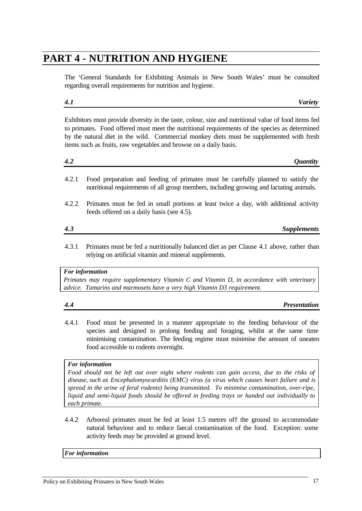## **PART 4 - NUTRITION AND HYGIENE**

The 'General Standards for Exhibiting Animals in New South Wales' must be consulted regarding overall requirements for nutrition and hygiene.

### Exhibitors must provide diversity in the taste, colour, size and nutritional value of food items fed to primates. Food offered must meet the nutritional requirements of the species as determined by the natural diet in the wild. Commercial monkey diets must be supplemented with fresh items such as fruits, raw vegetables and browse on a daily basis.

4.2.1 Food preparation and feeding of primates must be carefully planned to satisfy the nutritional requirements of all group members, including growing and lactating animals.

*4.2 Quantity*

- 4.2.2 Primates must be fed in small portions at least twice a day, with additional activity feeds offered on a daily basis (see 4.5).
- *4.3 Supplements*
- 4.3.1 Primates must be fed a nutritionally balanced diet as per Clause 4.1 above, rather than relying on artificial vitamin and mineral supplements.

### *For information*

*Primates may require supplementary Vitamin C and Vitamin D, in accordance with veterinary advice. Tamarins and marmosets have a very high Vitamin D3 requirement.*

- *4.4 Presentation*
	-
- 4.4.1 Food must be presented in a manner appropriate to the feeding behaviour of the species and designed to prolong feeding and foraging, whilst at the same time minimising contamination. The feeding regime must minimise the amount of uneaten food accessible to rodents overnight.

### *For information*

*Food should not be left out over night where rodents can gain access, due to the risks of disease, such as Encephalomyocarditis (EMC) virus (a virus which causes heart failure and is spread in the urine of feral rodents) being transmitted. To minimise contamination, over-ripe, liquid and semi-liquid foods should be offered in feeding trays or handed out individually to each primate.*

4.4.2 Arboreal primates must be fed at least 1.5 metres off the ground to accommodate natural behaviour and to reduce faecal contamination of the food. Exception: some activity feeds may be provided at ground level.

### *For information*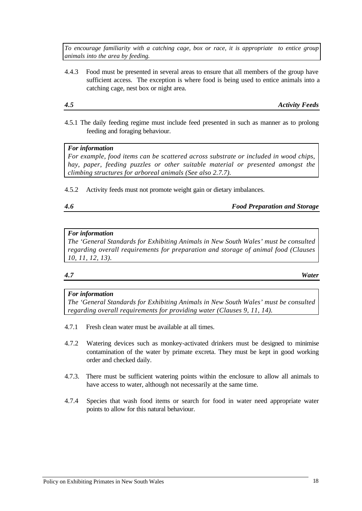*To encourage familiarity with a catching cage, box or race, it is appropriate to entice group animals into the area by feeding.*

4.4.3 Food must be presented in several areas to ensure that all members of the group have sufficient access. The exception is where food is being used to entice animals into a catching cage, nest box or night area.

*4.5 Activity Feeds*

4.5.1 The daily feeding regime must include feed presented in such as manner as to prolong feeding and foraging behaviour.

#### *For information*

*For example, food items can be scattered across substrate or included in wood chips, hay, paper, feeding puzzles or other suitable material or presented amongst the climbing structures for arboreal animals (See also 2.7.7).*

4.5.2 Activity feeds must not promote weight gain or dietary imbalances.

*4.6 Food Preparation and Storage*

#### *For information*

*The 'General Standards for Exhibiting Animals in New South Wales' must be consulted regarding overall requirements for preparation and storage of animal food (Clauses 10, 11, 12, 13).*

*4.7 Water*

#### *For information*

*The 'General Standards for Exhibiting Animals in New South Wales' must be consulted regarding overall requirements for providing water (Clauses 9, 11, 14).*

- 4.7.1 Fresh clean water must be available at all times.
- 4.7.2 Watering devices such as monkey-activated drinkers must be designed to minimise contamination of the water by primate excreta. They must be kept in good working order and checked daily.
- 4.7.3. There must be sufficient watering points within the enclosure to allow all animals to have access to water, although not necessarily at the same time.
- 4.7.4 Species that wash food items or search for food in water need appropriate water points to allow for this natural behaviour.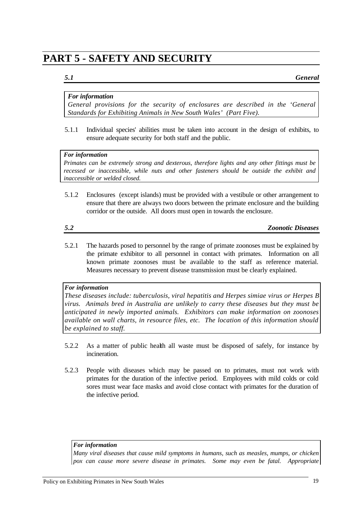## **PART 5 - SAFETY AND SECURITY**

*5.1 General*

### *For information*

*General provisions for the security of enclosures are described in the 'General Standards for Exhibiting Animals in New South Wales' (Part Five).*

5.1.1 Individual species' abilities must be taken into account in the design of exhibits, to ensure adequate security for both staff and the public.

#### *For information*

*Primates can be extremely strong and dexterous, therefore lights and any other fittings must be recessed or inaccessible, while nuts and other fasteners should be outside the exhibit and inaccessible or welded closed.*

5.1.2 Enclosures (except islands) must be provided with a vestibule or other arrangement to ensure that there are always two doors between the primate enclosure and the building corridor or the outside. All doors must open in towards the enclosure.

*5.2 Zoonotic Diseases*

5.2.1 The hazards posed to personnel by the range of primate zoonoses must be explained by the primate exhibitor to all personnel in contact with primates. Information on all known primate zoonoses must be available to the staff as reference material. Measures necessary to prevent disease transmission must be clearly explained.

#### *For information*

*These diseases include: tuberculosis, viral hepatitis and Herpes simiae virus or Herpes B virus. Animals bred in Australia are unlikely to carry these diseases but they must be anticipated in newly imported animals. Exhibitors can make information on zoonoses available on wall charts, in resource files, etc. The location of this information should be explained to staff.*

- 5.2.2 As a matter of public health all waste must be disposed of safely, for instance by incineration.
- 5.2.3 People with diseases which may be passed on to primates, must not work with primates for the duration of the infective period. Employees with mild colds or cold sores must wear face masks and avoid close contact with primates for the duration of the infective period.

#### *For information*

*Many viral diseases that cause mild symptoms in humans, such as measles, mumps, or chicken pox can cause more severe disease in primates. Some may even be fatal. Appropriate*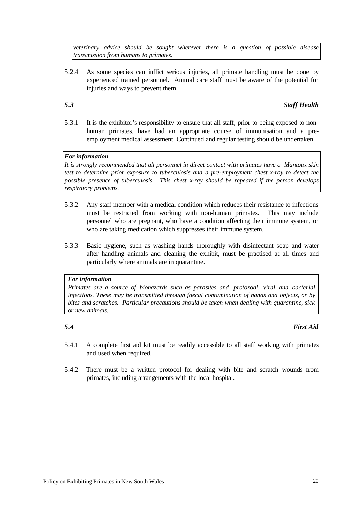*veterinary advice should be sought wherever there is a question of possible disease transmission from humans to primates.*

5.2.4 As some species can inflict serious injuries, all primate handling must be done by experienced trained personnel. Animal care staff must be aware of the potential for injuries and ways to prevent them.

*5.3 Staff Health*

5.3.1 It is the exhibitor's responsibility to ensure that all staff, prior to being exposed to nonhuman primates, have had an appropriate course of immunisation and a preemployment medical assessment. Continued and regular testing should be undertaken.

#### *For information*

*It is strongly recommended that all personnel in direct contact with primates have a Mantoux skin test to determine prior exposure to tuberculosis and a pre-employment chest x-ray to detect the possible presence of tuberculosis. This chest x-ray should be repeated if the person develops respiratory problems.*

- 5.3.2 Any staff member with a medical condition which reduces their resistance to infections must be restricted from working with non-human primates. This may include personnel who are pregnant, who have a condition affecting their immune system, or who are taking medication which suppresses their immune system.
- 5.3.3 Basic hygiene, such as washing hands thoroughly with disinfectant soap and water after handling animals and cleaning the exhibit, must be practised at all times and particularly where animals are in quarantine.

#### *For information*

*Primates are a source of biohazards such as parasites and protozoal, viral and bacterial infections. These may be transmitted through faecal contamination of hands and objects, or by bites and scratches. Particular precautions should be taken when dealing with quarantine, sick or new animals.*

*5.4 First Aid*

- 5.4.1 A complete first aid kit must be readily accessible to all staff working with primates and used when required.
- 5.4.2 There must be a written protocol for dealing with bite and scratch wounds from primates, including arrangements with the local hospital.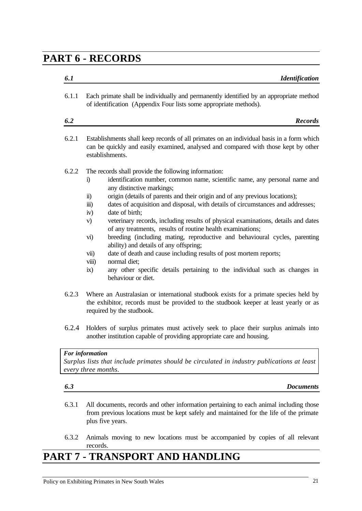## **PART 6 - RECORDS**

| 6.1   | <b>Identification</b>                                                                                                                                                                                                                                                                                                                                                                                                                                                                                                                                                                                                                                                                                                                                                                                                                                                                                                        |
|-------|------------------------------------------------------------------------------------------------------------------------------------------------------------------------------------------------------------------------------------------------------------------------------------------------------------------------------------------------------------------------------------------------------------------------------------------------------------------------------------------------------------------------------------------------------------------------------------------------------------------------------------------------------------------------------------------------------------------------------------------------------------------------------------------------------------------------------------------------------------------------------------------------------------------------------|
| 6.1.1 | Each primate shall be individually and permanently identified by an appropriate method<br>of identification (Appendix Four lists some appropriate methods).                                                                                                                                                                                                                                                                                                                                                                                                                                                                                                                                                                                                                                                                                                                                                                  |
| 6.2   | <b>Records</b>                                                                                                                                                                                                                                                                                                                                                                                                                                                                                                                                                                                                                                                                                                                                                                                                                                                                                                               |
| 6.2.1 | Establishments shall keep records of all primates on an individual basis in a form which<br>can be quickly and easily examined, analysed and compared with those kept by other<br>establishments.                                                                                                                                                                                                                                                                                                                                                                                                                                                                                                                                                                                                                                                                                                                            |
| 6.2.2 | The records shall provide the following information:<br>identification number, common name, scientific name, any personal name and<br>i)<br>any distinctive markings;<br>origin (details of parents and their origin and of any previous locations);<br>$\ddot{\mathbf{n}}$ )<br>dates of acquisition and disposal, with details of circumstances and addresses;<br>$\dddot{\mathbf{m}}$ )<br>date of birth;<br>iv)<br>veterinary records, including results of physical examinations, details and dates<br>V)<br>of any treatments, results of routine health examinations;<br>breeding (including mating, reproductive and behavioural cycles, parenting<br>vi)<br>ability) and details of any offspring;<br>date of death and cause including results of post mortem reports;<br>vii)<br>normal diet;<br>viii)<br>any other specific details pertaining to the individual such as changes in<br>ix)<br>behaviour or diet. |
| 6.2.3 | Where an Australasian or international studbook exists for a primate species held by<br>the exhibitor, records must be provided to the studbook keeper at least yearly or as<br>required by the studbook.                                                                                                                                                                                                                                                                                                                                                                                                                                                                                                                                                                                                                                                                                                                    |
| 6.2.4 | Holders of surplus primates must actively seek to place their surplus animals into<br>another institution capable of providing appropriate care and housing.                                                                                                                                                                                                                                                                                                                                                                                                                                                                                                                                                                                                                                                                                                                                                                 |
|       | For information<br>Surplus lists that include primates should be circulated in industry publications at least<br>every three months.                                                                                                                                                                                                                                                                                                                                                                                                                                                                                                                                                                                                                                                                                                                                                                                         |
| 6.3   | <b>Documents</b>                                                                                                                                                                                                                                                                                                                                                                                                                                                                                                                                                                                                                                                                                                                                                                                                                                                                                                             |
| 6.3.1 | All documents, records and other information pertaining to each animal including those<br>from previous locations must be kept safely and maintained for the life of the primate<br>plus five years.                                                                                                                                                                                                                                                                                                                                                                                                                                                                                                                                                                                                                                                                                                                         |
|       |                                                                                                                                                                                                                                                                                                                                                                                                                                                                                                                                                                                                                                                                                                                                                                                                                                                                                                                              |

6.3.2 Animals moving to new locations must be accompanied by copies of all relevant records.

# **PART 7 - TRANSPORT AND HANDLING**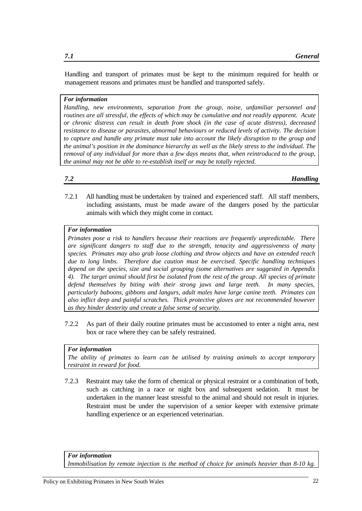Handling and transport of primates must be kept to the minimum required for health or management reasons and primates must be handled and transported safely.

#### *For information*

*Handling, new environments, separation from the group, noise, unfamiliar personnel and routines are all stressful, the effects of which may be cumulative and not readily apparent. Acute or chronic distress can result in death from shock (in the case of acute distress), decreased resistance to disease or parasites, abnormal behaviours or reduced levels of activity. The decision to capture and handle any primate must take into account the likely disruption to the group and the animal's position in the dominance hierarchy as well as the likely stress to the individual. The removal of any individual for more than a few days means that, when reintroduced to the group, the animal may not be able to re-establish itself or may be totally rejected.*

#### *7.2 Handling*

7.2.1 All handling must be undertaken by trained and experienced staff. All staff members, including assistants, must be made aware of the dangers posed by the particular animals with which they might come in contact.

#### *For information*

*Primates pose a risk to handlers because their reactions are frequently unpredictable. There are significant dangers to staff due to the strength, tenacity and aggressiveness of many species. Primates may also grab loose clothing and throw objects and have an extended reach due to long limbs. Therefore due caution must be exercised. Specific handling techniques depend on the species, size and social grouping (some alternatives are suggested in Appendix 4). The target animal should first be isolated from the rest of the group. All species of primate defend themselves by biting with their strong jaws and large teeth. In many species, particularly baboons, gibbons and langurs, adult males have large canine teeth. Primates can also inflict deep and painful scratches. Thick protective gloves are not recommended however as they hinder dexterity and create a false sense of security.*

7.2.2 As part of their daily routine primates must be accustomed to enter a night area, nest box or race where they can be safely restrained.

#### *For information*

*The ability of primates to learn can be utilised by training animals to accept temporary restraint in reward for food.*

7.2.3 Restraint may take the form of chemical or physical restraint or a combination of both, such as catching in a race or night box and subsequent sedation. It must be undertaken in the manner least stressful to the animal and should not result in injuries. Restraint must be under the supervision of a senior keeper with extensive primate handling experience or an experienced veterinarian.

*For information*

*Immobilisation by remote injection is the method of choice for animals heavier than 8-10 kg.*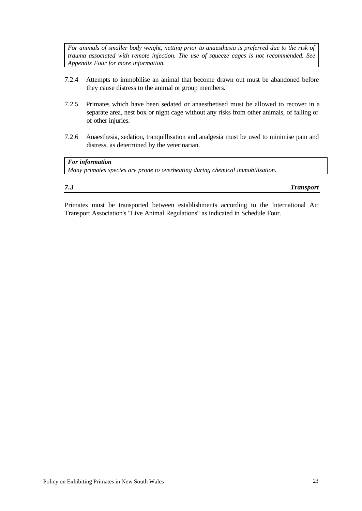*For animals of smaller body weight, netting prior to anaesthesia is preferred due to the risk of trauma associated with remote injection. The use of squeeze cages is not recommended. See Appendix Four for more information.*

- 7.2.4 Attempts to immobilise an animal that become drawn out must be abandoned before they cause distress to the animal or group members.
- 7.2.5 Primates which have been sedated or anaesthetised must be allowed to recover in a separate area, nest box or night cage without any risks from other animals, of falling or of other injuries.
- 7.2.6 Anaesthesia, sedation, tranquillisation and analgesia must be used to minimise pain and distress, as determined by the veterinarian.

*For information Many primates species are prone to overheating during chemical immobilisation.*

| 7.3 | <b>Transport</b> |
|-----|------------------|

Primates must be transported between establishments according to the International Air Transport Association's "Live Animal Regulations" as indicated in Schedule Four.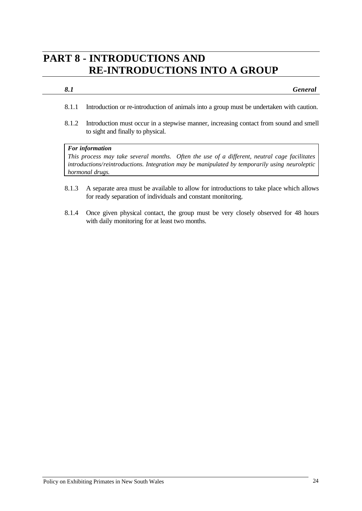## **PART 8 - INTRODUCTIONS AND RE-INTRODUCTIONS INTO A GROUP**

#### *8.1 General*

- 8.1.1 Introduction or re-introduction of animals into a group must be undertaken with caution.
- 8.1.2 Introduction must occur in a stepwise manner, increasing contact from sound and smell to sight and finally to physical.

#### *For information*

*This process may take several months. Often the use of a different, neutral cage facilitates introductions/reintroductions. Integration may be manipulated by temporarily using neuroleptic hormonal drugs.*

- 8.1.3 A separate area must be available to allow for introductions to take place which allows for ready separation of individuals and constant monitoring.
- 8.1.4 Once given physical contact, the group must be very closely observed for 48 hours with daily monitoring for at least two months.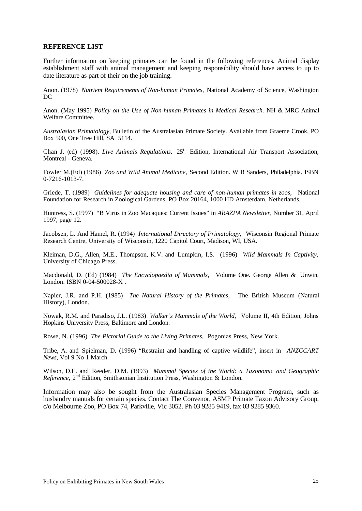#### **REFERENCE LIST**

Further information on keeping primates can be found in the following references. Animal display establishment staff with animal management and keeping responsibility should have access to up to date literature as part of their on the job training.

Anon. (1978) *Nutrient Requirements of Non-human Primates,* National Academy of Science, Washington DC

Anon. (May 1995) *Policy on the Use of Non-human Primates in Medical Research.* NH & MRC Animal Welfare Committee.

*Australasian Primatology*, Bulletin of the Australasian Primate Society. Available from Graeme Crook, PO Box 500, One Tree Hill, SA 5114.

Chan J. (ed) (1998). *Live Animals Regulations.* 25th Edition, International Air Transport Association, Montreal - Geneva.

Fowler M.(Ed) (1986) *Zoo and Wild Animal Medicine,* Second Edition. W B Sanders, Philadelphia. ISBN 0-7216-1013-7.

Griede, T. (1989) *Guidelines for adequate housing and care of non-human primates in zoos,* National Foundation for Research in Zoological Gardens, PO Box 20164, 1000 HD Amsterdam, Netherlands.

Huntress, S. (1997) "B Virus in Zoo Macaques: Current Issues" in *ARAZPA Newsletter*, Number 31, April 1997, page 12.

Jacobsen, L. And Hamel, R. (1994) *International Directory of Primatology,* Wisconsin Regional Primate Research Centre, University of Wisconsin, 1220 Capitol Court, Madison, WI, USA.

Kleiman, D.G., Allen, M.E., Thompson, K.V. and Lumpkin, I.S. (1996) *Wild Mammals In Captivity,* University of Chicago Press.

Macdonald, D. (Ed) (1984) *The Encyclopaedia of Mammals,* Volume One. George Allen & Unwin, London. ISBN 0-04-500028-X .

Napier, J.R. and P.H. (1985) *The Natural History of the Primates,* The British Museum (Natural History), London.

Nowak, R.M. and Paradiso, J.L. (1983) *Walker's Mammals of the World,* Volume II, 4th Edition, Johns Hopkins University Press, Baltimore and London.

Rowe, N. (1996) *The Pictorial Guide to the Living Primates,* Pogonias Press, New York.

Tribe, A. and Spielman, D. (1996) "Restraint and handling of captive wildlife", insert in *ANZCCART News*, Vol 9 No 1 March.

Wilson, D.E. and Reeder, D.M. (1993) *Mammal Species of the World: a Taxonomic and Geographic Reference*, 2nd Edition, Smithsonian Institution Press, Washington & London.

Information may also be sought from the Australasian Species Management Program, such as husbandry manuals for certain species. Contact The Convenor, ASMP Primate Taxon Advisory Group, c/o Melbourne Zoo, PO Box 74, Parkville, Vic 3052. Ph 03 9285 9419, fax 03 9285 9360.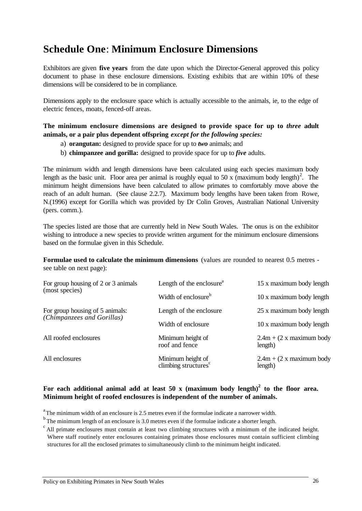## **Schedule One**: **Minimum Enclosure Dimensions**

Exhibitors are given **five years** from the date upon which the Director-General approved this policy document to phase in these enclosure dimensions. Existing exhibits that are within 10% of these dimensions will be considered to be in compliance.

Dimensions apply to the enclosure space which is actually accessible to the animals, ie, to the edge of electric fences, moats, fenced-off areas.

### **The minimum enclosure dimensions are designed to provide space for up to** *three* **adult animals, or a pair plus dependent offspring** *except for the following species:*

- a) **orangutan:** designed to provide space for up to *two* animals; and
- b) **chimpanzee and gorilla:** designed to provide space for up to *five* adults.

The minimum width and length dimensions have been calculated using each species maximum body length as the basic unit. Floor area per animal is roughly equal to 50 x (maximum body length)<sup>2</sup>. The minimum height dimensions have been calculated to allow primates to comfortably move above the reach of an adult human. (See clause 2.2.7). Maximum body lengths have been taken from Rowe, N.(1996) except for Gorilla which was provided by Dr Colin Groves, Australian National University (pers. comm.).

The species listed are those that are currently held in New South Wales. The onus is on the exhibitor wishing to introduce a new species to provide written argument for the minimum enclosure dimensions based on the formulae given in this Schedule.

**Formulae used to calculate the minimum dimensions** (values are rounded to nearest 0.5 metres see table on next page):

| For group housing of 2 or 3 animals<br>(most species)<br>(Chimpanzees and Gorillas) | Length of the enclosure <sup>a</sup>                  | 15 x maximum body length               |  |  |  |
|-------------------------------------------------------------------------------------|-------------------------------------------------------|----------------------------------------|--|--|--|
|                                                                                     | Width of enclosure <sup>b</sup>                       | 10 x maximum body length               |  |  |  |
| For group housing of 5 animals:                                                     | Length of the enclosure                               | 25 x maximum body length               |  |  |  |
|                                                                                     | Width of enclosure                                    | 10 x maximum body length               |  |  |  |
| All roofed enclosures                                                               | Minimum height of<br>roof and fence                   | $2.4m + (2 x maximum body)$<br>length) |  |  |  |
| All enclosures                                                                      | Minimum height of<br>climbing structures <sup>c</sup> | $2.4m + (2 x maximum body)$<br>length) |  |  |  |

### **For each additional animal add at least 50 x (maximum body length)<sup>2</sup> to the floor area. Minimum height of roofed enclosures is independent of the number of animals.**

 $a<sup>a</sup>$ The minimum width of an enclosure is 2.5 metres even if the formulae indicate a narrower width.

 $<sup>b</sup>$ The minimum length of an enclosure is 3.0 metres even if the formulae indicate a shorter length.</sup>

 $c$ All primate enclosures must contain at least two climbing structures with a minimum of the indicated height. Where staff routinely enter enclosures containing primates those enclosures must contain sufficient climbing structures for all the enclosed primates to simultaneously climb to the minimum height indicated.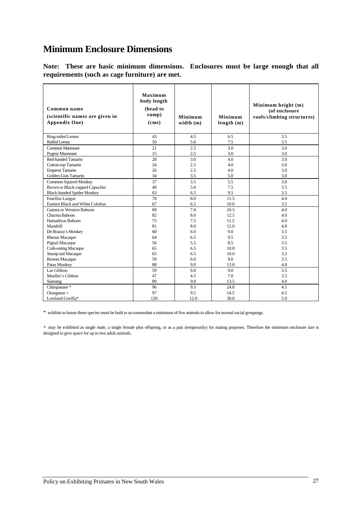## **Minimum Enclosure Dimensions**

**Note: These are basic minimum dimensions. Enclosures must be large enough that all requirements (such as cage furniture) are met.**

| Common name<br>(scientific names are given in<br>Appendix One) | Maximum<br>body length<br>(head to<br>rump)<br>(cms) | Minimum<br>width $(m)$ | Minimum<br>length(m) | Minimum height (m)<br>(of enclosure<br>roofs/climbing structures) |
|----------------------------------------------------------------|------------------------------------------------------|------------------------|----------------------|-------------------------------------------------------------------|
| Ring-tailed Lemur                                              | 43                                                   | 4.5                    | 6.5                  | 3.5                                                               |
| Ruffed Lemur                                                   | 50                                                   | 5.0                    | 7.5                  | 3.5                                                               |
| Common Marmoset                                                | 21                                                   | 2.5                    | 3.0                  | 3.0                                                               |
| <b>Pygmy Marmoset</b>                                          | 15                                                   | 2.5                    | 3.0                  | 3.0                                                               |
| Red-handed Tamarin                                             | 28                                                   | 3.0                    | 4.0                  | 3.0                                                               |
| Cotton-top Tamarin                                             | 24                                                   | 2.5                    | 4.0                  | 3.0                                                               |
| <b>Emperor Tamarin</b>                                         | 26                                                   | 2.5                    | 4.0                  | 3.0                                                               |
| Golden Lion Tamarin                                            | 34                                                   | 3.5                    | 5.0                  | 3.0                                                               |
| <b>Common Squirrel Monkey</b>                                  | 37                                                   | 3.5                    | 5.5                  | 3.0                                                               |
| Brown or Black-capped Capuchin                                 | 49                                                   | 5.0                    | 7.5                  | 3.5                                                               |
| <b>Black-handed Spider Monkey</b>                              | 63                                                   | 6.5                    | 9.5                  | 3.5                                                               |
| <b>Entellus Langur</b>                                         | 78                                                   | 8.0                    | 11.5                 | 4.0                                                               |
| Eastern Black and White Colobus                                | 67                                                   | 6.5                    | 10.0                 | 3.5                                                               |
| Guinea or Western Baboon                                       | 69                                                   | 7.0                    | 10.5                 | 4.0                                                               |
| Chacma Baboon                                                  | 82                                                   | 8.0                    | 12.5                 | 4.0                                                               |
| Hamadryas Baboon                                               | 75                                                   | 7.5                    | 11.5                 | 4.0                                                               |
| Mandrill                                                       | 81                                                   | 8.0                    | 12.0                 | 4.0                                                               |
| De Brazza's Monkey                                             | 60                                                   | 6.0                    | 9.0                  | 3.5                                                               |
| Rhesus Macaque                                                 | 64                                                   | 6.5                    | 9.5                  | 3.5                                                               |
| Pigtail Macaque                                                | 56                                                   | 5.5                    | 8.5                  | 3.5                                                               |
| Crab-eating Macaque                                            | 65                                                   | 6.5                    | 10.0                 | 3.5                                                               |
| Stump-tail Macaque                                             | 65                                                   | 6.5                    | 10.0                 | 3.5                                                               |
| <b>Bonnet Macaque</b>                                          | 59                                                   | 6.0                    | 9.0                  | 3.5                                                               |
| Patas Monkey                                                   | 88                                                   | 9.0                    | 13.0                 | 4.0                                                               |
| Lar Gibbon                                                     | 59                                                   | 6.0                    | 9.0                  | 3.5                                                               |
| Mueller's Gibbon                                               | 47                                                   | 4.5                    | 7.0                  | 3.5                                                               |
| Siamang                                                        | 89                                                   | 9.0                    | 13.5                 | 4.0                                                               |
| Chimpanzee*                                                    | 96                                                   | 9.5                    | 24.0                 | 4.5                                                               |
| Orangutan +                                                    | 97                                                   | 9.5                    | 14.5                 | 4.5                                                               |
| Lowland Gorilla*                                               | 120                                                  | 12.0                   | 30.0                 | 5.0                                                               |

\* exhibits to house these species must be built to accommodate a minimum of five animals to allow for normal social groupings.

+ may be exhibited as single male, a single female plus offspring, or as a pair (temporarily) for mating purposes. Therefore the minimum enclosure size is designed to give space for up to two adult animals.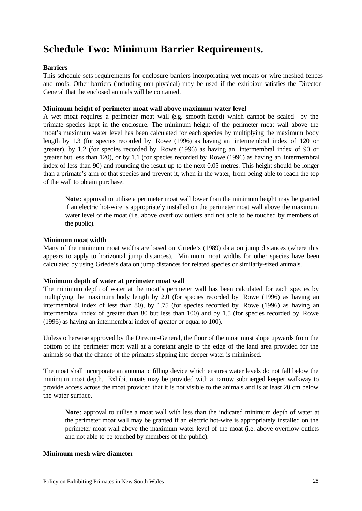## **Schedule Two: Minimum Barrier Requirements.**

#### **Barriers**

This schedule sets requirements for enclosure barriers incorporating wet moats or wire-meshed fences and roofs. Other barriers (including non-physical) may be used if the exhibitor satisfies the Director-General that the enclosed animals will be contained.

#### **Minimum height of perimeter moat wall above maximum water level**

A wet moat requires a perimeter moat wall (e.g. smooth-faced) which cannot be scaled by the primate species kept in the enclosure. The minimum height of the perimeter moat wall above the moat's maximum water level has been calculated for each species by multiplying the maximum body length by 1.3 (for species recorded by Rowe (1996) as having an intermembral index of 120 or greater), by 1.2 (for species recorded by Rowe (1996) as having an intermembral index of 90 or greater but less than 120), or by 1.1 (for species recorded by Rowe (1996) as having an intermembral index of less than 90) and rounding the result up to the next 0.05 metres. This height should be longer than a primate's arm of that species and prevent it, when in the water, from being able to reach the top of the wall to obtain purchase.

**Note**: approval to utilise a perimeter moat wall lower than the minimum height may be granted if an electric hot-wire is appropriately installed on the perimeter moat wall above the maximum water level of the moat (i.e. above overflow outlets and not able to be touched by members of the public).

#### **Minimum moat width**

Many of the minimum moat widths are based on Griede's (1989) data on jump distances (where this appears to apply to horizontal jump distances). Minimum moat widths for other species have been calculated by using Griede's data on jump distances for related species or similarly-sized animals.

#### **Minimum depth of water at perimeter moat wall**

The minimum depth of water at the moat's perimeter wall has been calculated for each species by multiplying the maximum body length by 2.0 (for species recorded by Rowe (1996) as having an intermembral index of less than 80), by 1.75 (for species recorded by Rowe (1996) as having an intermembral index of greater than 80 but less than 100) and by 1.5 (for species recorded by Rowe (1996) as having an intermembral index of greater or equal to 100).

Unless otherwise approved by the Director-General, the floor of the moat must slope upwards from the bottom of the perimeter moat wall at a constant angle to the edge of the land area provided for the animals so that the chance of the primates slipping into deeper water is minimised.

The moat shall incorporate an automatic filling device which ensures water levels do not fall below the minimum moat depth. Exhibit moats may be provided with a narrow submerged keeper walkway to provide access across the moat provided that it is not visible to the animals and is at least 20 cm below the water surface.

**Note**: approval to utilise a moat wall with less than the indicated minimum depth of water at the perimeter moat wall may be granted if an electric hot-wire is appropriately installed on the perimeter moat wall above the maximum water level of the moat (i.e. above overflow outlets and not able to be touched by members of the public).

#### **Minimum mesh wire diameter**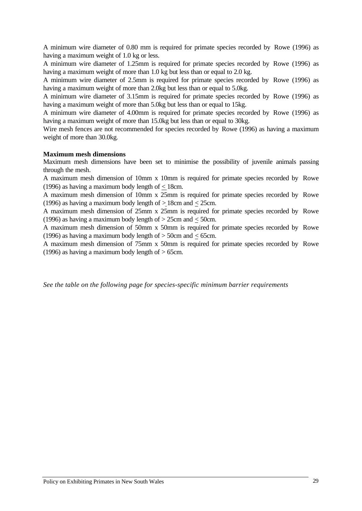A minimum wire diameter of 0.80 mm is required for primate species recorded by Rowe (1996) as having a maximum weight of 1.0 kg or less.

A minimum wire diameter of 1.25mm is required for primate species recorded by Rowe (1996) as having a maximum weight of more than 1.0 kg but less than or equal to 2.0 kg.

A minimum wire diameter of 2.5mm is required for primate species recorded by Rowe (1996) as having a maximum weight of more than 2.0kg but less than or equal to 5.0kg.

A minimum wire diameter of 3.15mm is required for primate species recorded by Rowe (1996) as having a maximum weight of more than 5.0kg but less than or equal to 15kg.

A minimum wire diameter of 4.00mm is required for primate species recorded by Rowe (1996) as having a maximum weight of more than 15.0kg but less than or equal to 30kg.

Wire mesh fences are not recommended for species recorded by Rowe (1996) as having a maximum weight of more than 30.0kg.

#### **Maximum mesh dimensions**

Maximum mesh dimensions have been set to minimise the possibility of juvenile animals passing through the mesh.

A maximum mesh dimension of 10mm x 10mm is required for primate species recorded by Rowe (1996) as having a maximum body length of  $\leq$  18cm.

A maximum mesh dimension of 10mm x 25mm is required for primate species recorded by Rowe (1996) as having a maximum body length of  $> 18$ cm and  $< 25$ cm.

A maximum mesh dimension of 25mm x 25mm is required for primate species recorded by Rowe (1996) as having a maximum body length of  $> 25$ cm and  $< 50$ cm.

A maximum mesh dimension of 50mm x 50mm is required for primate species recorded by Rowe (1996) as having a maximum body length of  $>$  50cm and  $<$  65cm.

A maximum mesh dimension of 75mm x 50mm is required for primate species recorded by Rowe (1996) as having a maximum body length of  $> 65$ cm.

*See the table on the following page for species-specific minimum barrier requirements*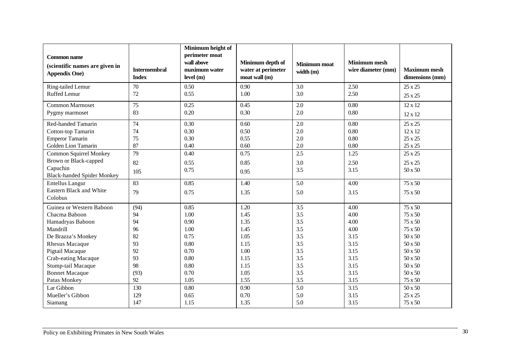| <b>Common name</b><br>(scientific names are given in<br><b>Appendix One)</b> | <b>Intermembral</b><br><b>Index</b> | Minimum height of<br>perimeter moat<br>wall above<br>maximum water<br>level(m) | Minimum depth of<br>water at perimeter<br>moat wall (m) | Minimum moat<br>width (m) | <b>Minimum mesh</b><br>wire diameter (mm) | <b>Maximum mesh</b><br>dimensions (mm) |
|------------------------------------------------------------------------------|-------------------------------------|--------------------------------------------------------------------------------|---------------------------------------------------------|---------------------------|-------------------------------------------|----------------------------------------|
| Ring-tailed Lemur<br><b>Ruffed Lemur</b>                                     | 70<br>72                            | 0.50<br>0.55                                                                   | 0.90<br>1.00                                            | 3.0<br>3.0                | 2.50<br>2.50                              | 25 x 25                                |
|                                                                              |                                     |                                                                                |                                                         |                           |                                           | 25 x 25                                |
| <b>Common Marmoset</b>                                                       | 75                                  | 0.25                                                                           | 0.45                                                    | 2.0                       | 0.80                                      | 12 x 12                                |
| Pygmy marmoset                                                               | 83                                  | 0.20                                                                           | 0.30                                                    | 2.0                       | 0.80                                      | $12 \times 12$                         |
| Red-handed Tamarin                                                           | 74                                  | 0.30                                                                           | 0.60                                                    | 2.0                       | 0.80                                      | 25 x 25                                |
| Cotton-top Tamarin                                                           | 74                                  | 0.30                                                                           | 0.50                                                    | 2.0                       | 0.80                                      | $12 \times 12$                         |
| <b>Emperor Tamarin</b>                                                       | 75                                  | 0.30                                                                           | 0.55                                                    | 2.0                       | 0.80                                      | 25 x 25                                |
| Golden Lion Tamarin                                                          | 87                                  | 0.40                                                                           | 0.60                                                    | 2.0                       | 0.80                                      | 25 x 25                                |
| <b>Common Squirrel Monkey</b>                                                | 79                                  | 0.40                                                                           | 0.75                                                    | 2.5                       | 1.25                                      | 25 x 25                                |
| Brown or Black-capped                                                        | 82                                  | 0.55                                                                           | 0.85                                                    | 3.0                       | 2.50                                      | 25 x 25                                |
| Capuchin<br><b>Black-handed Spider Monkey</b>                                | 105                                 | 0.75                                                                           | 0.95                                                    | 3.5                       | 3.15                                      | 50 x 50                                |
| <b>Entellus Langur</b>                                                       | 83                                  | 0.85                                                                           | 1.40                                                    | 5.0                       | 4.00                                      | 75 x 50                                |
| Eastern Black and White<br>Colobus                                           | 79                                  | 0.75                                                                           | 1.35                                                    | 5.0                       | 3.15                                      | 75 x 50                                |
| Guinea or Western Baboon                                                     | (94)                                | 0.85                                                                           | 1.20                                                    | 3.5                       | 4.00                                      | $75 \times 50$                         |
| Chacma Baboon                                                                | 94                                  | 1.00                                                                           | 1.45                                                    | 3.5                       | 4.00                                      | 75 x 50                                |
| Hamadryas Baboon                                                             | 94                                  | 0.90                                                                           | 1.35                                                    | 3.5                       | 4.00                                      | 75 x 50                                |
| Mandrill                                                                     | 96                                  | 1.00                                                                           | 1.45                                                    | 3.5                       | 4.00                                      | 75 x 50                                |
| De Brazza's Monkey                                                           | 82                                  | 0.75                                                                           | 1.05                                                    | 3.5                       | 3.15                                      | 50 x 50                                |
| <b>Rhesus Macaque</b>                                                        | 93                                  | 0.80                                                                           | 1.15                                                    | 3.5                       | 3.15                                      | 50 x 50                                |
| Pigtail Macaque                                                              | 92                                  | 0.70                                                                           | 1.00                                                    | 3.5                       | 3.15                                      | 50 x 50                                |
| Crab-eating Macaque                                                          | 93                                  | 0.80                                                                           | 1.15                                                    | 3.5                       | 3.15                                      | 50 x 50                                |
| Stump-tail Macaque                                                           | 98                                  | 0.80                                                                           | 1.15                                                    | 3.5                       | 3.15                                      | $50 \, \rm{x}$ $50$                    |
| <b>Bonnet Macaque</b>                                                        | (93)                                | 0.70                                                                           | 1.05                                                    | 3.5                       | 3.15                                      | 50 x 50                                |
| Patas Monkey                                                                 | 92                                  | 1.05                                                                           | 1.55                                                    | 3.5                       | 3.15                                      | 75 x 50                                |
| Lar Gibbon                                                                   | 130                                 | 0.80                                                                           | 0.90                                                    | 5.0                       | 3.15                                      | 50 x 50                                |
| Mueller's Gibbon                                                             | 129                                 | 0.65                                                                           | 0.70                                                    | 5.0                       | 3.15                                      | 25 x 25                                |
| Siamang                                                                      | 147                                 | 1.15                                                                           | 1.35                                                    | 5.0                       | 3.15                                      | 75 x 50                                |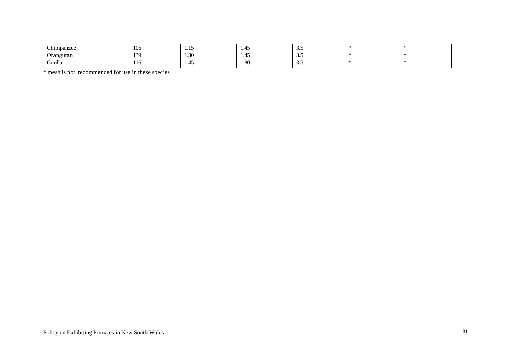| $\sim$ $\cdot$<br>Chimpanzee | 106 | --<br><b>1.IJ</b> | $\overline{\phantom{a}}$<br>1.45 | ຼ  |  |
|------------------------------|-----|-------------------|----------------------------------|----|--|
| Orangutan<br>. .             | 139 | 1.30              | 1.45                             | ຼ  |  |
| Gorilla<br>$\sim$            | 116 | $\Lambda$<br>1.42 | 1.80                             | ູ. |  |

\* mesh is not recommended for use in these species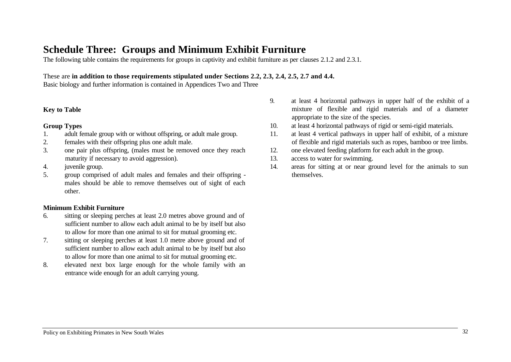## **Schedule Three: Groups and Minimum Exhibit Furniture**

The following table contains the requirements for groups in captivity and exhibit furniture as per clauses 2.1.2 and 2.3.1.

#### These are **in addition to those requirements stipulated under Sections 2.2, 2.3, 2.4, 2.5, 2.7 and 4.4.**

Basic biology and further information is contained in Appendices Two and Three

#### **Key to Table**

#### **Group Types**

- 1. adult female group with or without offspring, or adult male group.
- 2. females with their offspring plus one adult male.
- 3. one pair plus offspring, (males must be removed once they reach maturity if necessary to avoid aggression).
- 4. juvenile group.
- 5. group comprised of adult males and females and their offspring males should be able to remove themselves out of sight of each other.

### **Minimum Exhibit Furniture**

- 6. sitting or sleeping perches at least 2.0 metres above ground and of sufficient number to allow each adult animal to be by itself but also to allow for more than one animal to sit for mutual grooming etc.
- 7. sitting or sleeping perches at least 1.0 metre above ground and of sufficient number to allow each adult animal to be by itself but also to allow for more than one animal to sit for mutual grooming etc.
- 8. elevated next box large enough for the whole family with an entrance wide enough for an adult carrying young.
- 9. at least 4 horizontal pathways in upper half of the exhibit of a mixture of flexible and rigid materials and of a diameter appropriate to the size of the species.
- 10. at least 4 horizontal pathways of rigid or semi-rigid materials.
- 11. at least 4 vertical pathways in upper half of exhibit, of a mixture of flexible and rigid materials such as ropes, bamboo or tree limbs.
- 12. one elevated feeding platform for each adult in the group.
- 13. access to water for swimming.
- 14. areas for sitting at or near ground level for the animals to sun themselves.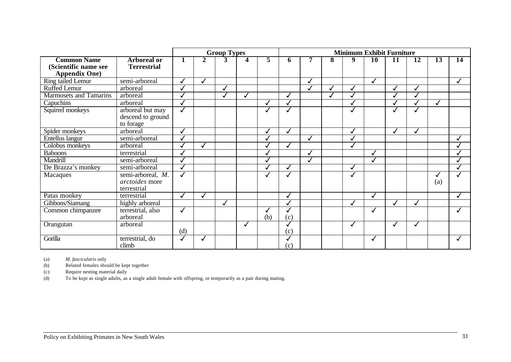|                                                                    |                                                    |     |              | <b>Group Types</b> |              |     | <b>Minimum Exhibit Furniture</b> |  |   |              |                 |              |                 |     |    |
|--------------------------------------------------------------------|----------------------------------------------------|-----|--------------|--------------------|--------------|-----|----------------------------------|--|---|--------------|-----------------|--------------|-----------------|-----|----|
| <b>Common Name</b><br>(Scientific name see<br><b>Appendix One)</b> | <b>Arboreal or</b><br><b>Terrestrial</b>           |     | $\mathbf{2}$ | 3                  | 4            | 5   | 6                                |  | 8 | 9            | $\overline{10}$ | 11           | $\overline{12}$ | 13  | 14 |
| <b>Ring tailed Lemur</b>                                           | semi-arboreal                                      |     |              |                    |              |     |                                  |  |   |              |                 |              |                 |     |    |
| Ruffed Lemur                                                       | arboreal                                           |     |              |                    |              |     |                                  |  |   |              |                 |              |                 |     |    |
| <b>Marmosets and Tamarins</b>                                      | arboreal                                           |     |              | $\checkmark$       |              |     |                                  |  |   |              |                 |              |                 |     |    |
| Capuchins                                                          | arboreal                                           |     |              |                    |              |     |                                  |  |   |              |                 |              |                 |     |    |
| Squirrel monkeys                                                   | arboreal but may<br>descend to ground<br>to forage |     |              |                    |              |     |                                  |  |   | $\checkmark$ |                 |              |                 |     |    |
| Spider monkeys                                                     | arboreal                                           |     |              |                    |              |     |                                  |  |   |              |                 |              |                 |     |    |
| Entellus langur                                                    | semi-arboreal                                      |     |              |                    |              |     |                                  |  |   |              |                 |              |                 |     |    |
| Colobus monkeys                                                    | arboreal                                           |     |              |                    |              |     |                                  |  |   |              |                 |              |                 |     |    |
| <b>Baboons</b>                                                     | terrestrial                                        |     |              |                    |              |     |                                  |  |   |              |                 |              |                 |     |    |
| Mandrill                                                           | semi-arboreal                                      |     |              |                    |              |     |                                  |  |   |              |                 |              |                 |     |    |
| De Brazza's monkey                                                 | semi-arboreal                                      |     |              |                    |              |     |                                  |  |   |              |                 |              |                 |     |    |
| Macaques                                                           | semi-arboreal, M.<br>arctoides more<br>terrestrial |     |              |                    |              |     |                                  |  |   | $\checkmark$ |                 |              |                 | (a) |    |
| Patas monkey                                                       | terrestrial                                        |     |              |                    |              |     |                                  |  |   |              |                 |              |                 |     |    |
| Gibbons/Siamang                                                    | highly arboreal                                    |     |              | $\checkmark$       |              |     | ✓                                |  |   | ℐ            |                 |              |                 |     |    |
| Common chimpanzee                                                  | terrestrial, also<br>arboreal                      |     |              |                    |              | (b) | (c)                              |  |   |              |                 |              |                 |     |    |
| Orangutan                                                          | arboreal                                           | (d) |              |                    | $\checkmark$ |     | ✓<br>(c)                         |  |   | ✓            |                 | $\checkmark$ | ✓               |     |    |
| Gorilla                                                            | terrestrial, do<br>climb                           |     |              |                    |              |     | (c)                              |  |   |              |                 |              |                 |     |    |

(a) *M. fascicularis* only (b) Related females should be kept together<br>
(c) Require nesting material daily

(c) Require nesting material daily<br>(d) To be kept as single adults, as

To be kept as single adults, as a single adult female with offspring, or temporarily as a pair during mating.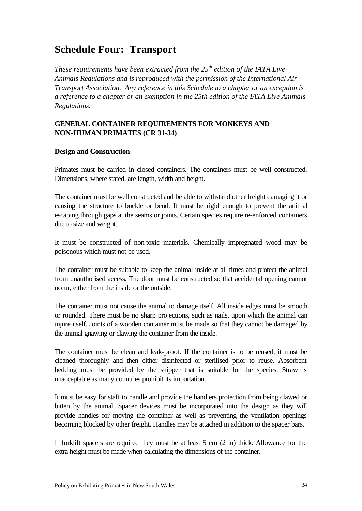## **Schedule Four: Transport**

*These requirements have been extracted from the 25th edition of the IATA Live Animals Regulations and is reproduced with the permission of the International Air Transport Association. Any reference in this Schedule to a chapter or an exception is a reference to a chapter or an exemption in the 25th edition of the IATA Live Animals Regulations.*

### **GENERAL CONTAINER REQUIREMENTS FOR MONKEYS AND NON-HUMAN PRIMATES (CR 31-34)**

### **Design and Construction**

Primates must be carried in closed containers. The containers must be well constructed. Dimensions, where stated, are length, width and height.

The container must be well constructed and be able to withstand other freight damaging it or causing the structure to buckle or bend. It must be rigid enough to prevent the animal escaping through gaps at the seams or joints. Certain species require re-enforced containers due to size and weight.

It must be constructed of non-toxic materials. Chemically impregnated wood may be poisonous which must not be used.

The container must be suitable to keep the animal inside at all times and protect the animal from unauthorised access. The door must be constructed so that accidental opening cannot occur, either from the inside or the outside.

The container must not cause the animal to damage itself. All inside edges must be smooth or rounded. There must be no sharp projections, such as nails, upon which the animal can injure itself. Joints of a wooden container must be made so that they cannot be damaged by the animal gnawing or clawing the container from the inside.

The container must be clean and leak-proof. If the container is to be reused, it must be cleaned thoroughly and then either disinfected or sterilised prior to reuse. Absorbent bedding must be provided by the shipper that is suitable for the species. Straw is unacceptable as many countries prohibit its importation.

It must be easy for staff to handle and provide the handlers protection from being clawed or bitten by the animal. Spacer devices must be incorporated into the design as they will provide handles for moving the container as well as preventing the ventilation openings becoming blocked by other freight. Handles may be attached in addition to the spacer bars.

If forklift spacers are required they must be at least 5 cm (2 in) thick. Allowance for the extra height must be made when calculating the dimensions of the container.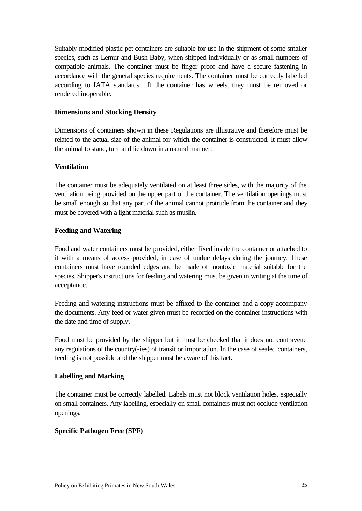Suitably modified plastic pet containers are suitable for use in the shipment of some smaller species, such as Lemur and Bush Baby, when shipped individually or as small numbers of compatible animals. The container must be finger proof and have a secure fastening in accordance with the general species requirements. The container must be correctly labelled according to IATA standards. If the container has wheels, they must be removed or rendered inoperable.

### **Dimensions and Stocking Density**

Dimensions of containers shown in these Regulations are illustrative and therefore must be related to the actual size of the animal for which the container is constructed. It must allow the animal to stand, turn and lie down in a natural manner.

### **Ventilation**

The container must be adequately ventilated on at least three sides, with the majority of the ventilation being provided on the upper part of the container. The ventilation openings must be small enough so that any part of the animal cannot protrude from the container and they must be covered with a light material such as muslin.

### **Feeding and Watering**

Food and water containers must be provided, either fixed inside the container or attached to it with a means of access provided, in case of undue delays during the journey. These containers must have rounded edges and be made of nontoxic material suitable for the species. Shipper's instructions for feeding and watering must be given in writing at the time of acceptance.

Feeding and watering instructions must be affixed to the container and a copy accompany the documents. Any feed or water given must be recorded on the container instructions with the date and time of supply.

Food must be provided by the shipper but it must be checked that it does not contravene any regulations of the country(-ies) of transit or importation. In the case of sealed containers, feeding is not possible and the shipper must be aware of this fact.

### **Labelling and Marking**

The container must be correctly labelled. Labels must not block ventilation holes, especially on small containers. Any labelling, especially on small containers must not occlude ventilation openings.

### **Specific Pathogen Free (SPF)**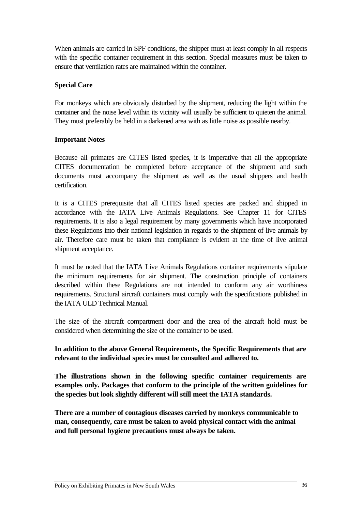When animals are carried in SPF conditions, the shipper must at least comply in all respects with the specific container requirement in this section. Special measures must be taken to ensure that ventilation rates are maintained within the container.

#### **Special Care**

For monkeys which are obviously disturbed by the shipment, reducing the light within the container and the noise level within its vicinity will usually be sufficient to quieten the animal. They must preferably be held in a darkened area with as little noise as possible nearby.

#### **Important Notes**

Because all primates are CITES listed species, it is imperative that all the appropriate CITES documentation be completed before acceptance of the shipment and such documents must accompany the shipment as well as the usual shippers and health certification.

It is a CITES prerequisite that all CITES listed species are packed and shipped in accordance with the IATA Live Animals Regulations. See Chapter 11 for CITES requirements. It is also a legal requirement by many governments which have incorporated these Regulations into their national legislation in regards to the shipment of live animals by air. Therefore care must be taken that compliance is evident at the time of live animal shipment acceptance.

It must be noted that the IATA Live Animals Regulations container requirements stipulate the minimum requirements for air shipment. The construction principle of containers described within these Regulations are not intended to conform any air worthiness requirements. Structural aircraft containers must comply with the specifications published in the IATA ULD Technical Manual.

The size of the aircraft compartment door and the area of the aircraft hold must be considered when determining the size of the container to be used.

## **In addition to the above General Requirements, the Specific Requirements that are relevant to the individual species must be consulted and adhered to.**

**The illustrations shown in the following specific container requirements are examples only. Packages that conform to the principle of the written guidelines for the species but look slightly different will still meet the IATA standards.**

**There are a number of contagious diseases carried by monkeys communicable to man, consequently, care must be taken to avoid physical contact with the animal and full personal hygiene precautions must always be taken.**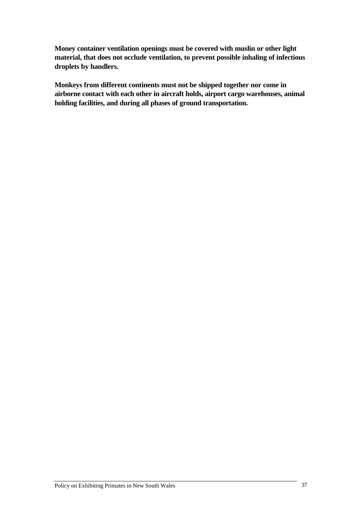**Money container ventilation openings must be covered with muslin or other light material, that does not occlude ventilation, to prevent possible inhaling of infectious droplets by handlers.**

**Monkeys from different continents must not be shipped together nor come in airborne contact with each other in aircraft holds, airport cargo warehouses, animal holding facilities, and during all phases of ground transportation.**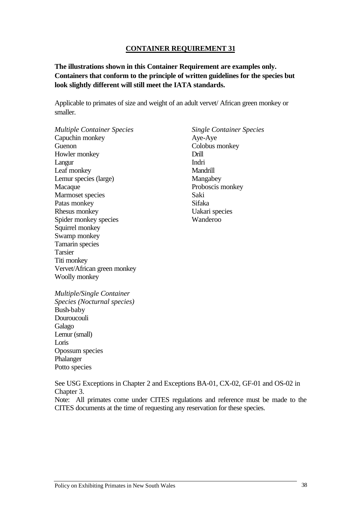#### **CONTAINER REQUIREMENT 31**

**The illustrations shown in this Container Requirement are examples only. Containers that conform to the principle of written guidelines for the species but look slightly different will still meet the IATA standards.**

Applicable to primates of size and weight of an adult vervet/ African green monkey or smaller.

*Multiple Container Species* Capuchin monkey Guenon Howler monkey Langur Leaf monkey Lemur species (large) Macaque Marmoset species Patas monkey Rhesus monkey Spider monkey species Squirrel monkey Swamp monkey Tamarin species Tarsier Titi monkey Vervet/African green monkey Woolly monkey

*Single Container Species* Aye-Aye Colobus monkey Drill Indri Mandrill Mangabey Proboscis monkey Saki Sifaka Uakari species Wanderoo

*Multiple/Single Container Species (Nocturnal species)* Bush-baby Douroucouli Galago Lemur (small) Loris Opossum species Phalanger Potto species

See USG Exceptions in Chapter 2 and Exceptions BA-01, CX-02, GF-01 and OS-02 in Chapter 3.

Note: All primates come under CITES regulations and reference must be made to the CITES documents at the time of requesting any reservation for these species.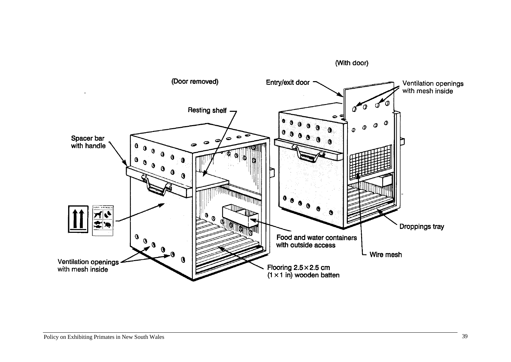

(With door)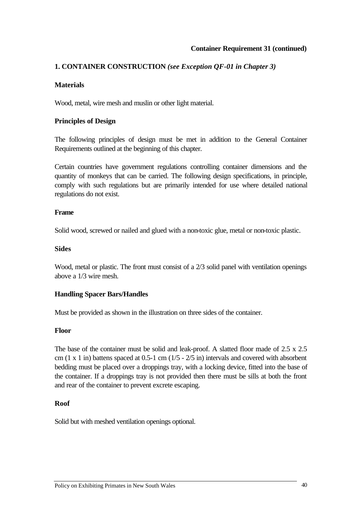## **Container Requirement 31 (continued)**

## **1. CONTAINER CONSTRUCTION** *(see Exception QF-01 in Chapter 3)*

#### **Materials**

Wood, metal, wire mesh and muslin or other light material.

#### **Principles of Design**

The following principles of design must be met in addition to the General Container Requirements outlined at the beginning of this chapter.

Certain countries have government regulations controlling container dimensions and the quantity of monkeys that can be carried. The following design specifications, in principle, comply with such regulations but are primarily intended for use where detailed national regulations do not exist.

#### **Frame**

Solid wood, screwed or nailed and glued with a non-toxic glue, metal or non-toxic plastic.

#### **Sides**

Wood, metal or plastic. The front must consist of a 2/3 solid panel with ventilation openings above a 1/3 wire mesh.

#### **Handling Spacer Bars/Handles**

Must be provided as shown in the illustration on three sides of the container.

#### **Floor**

The base of the container must be solid and leak-proof. A slatted floor made of 2.5 x 2.5 cm  $(1 \times 1)$  in) battens spaced at  $0.5$ -1 cm  $(1/5 - 2/5)$  in intervals and covered with absorbent bedding must be placed over a droppings tray, with a locking device, fitted into the base of the container. If a droppings tray is not provided then there must be sills at both the front and rear of the container to prevent excrete escaping.

#### **Roof**

Solid but with meshed ventilation openings optional.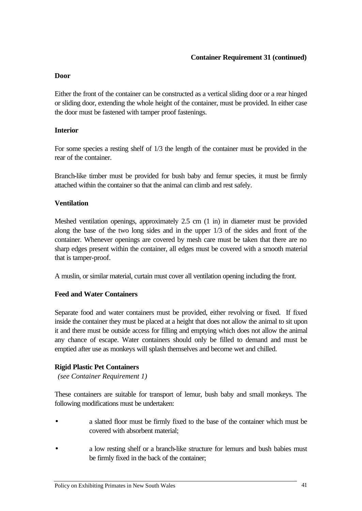## **Door**

Either the front of the container can be constructed as a vertical sliding door or a rear hinged or sliding door, extending the whole height of the container, must be provided. In either case the door must be fastened with tamper proof fastenings.

## **Interior**

For some species a resting shelf of 1/3 the length of the container must be provided in the rear of the container.

Branch-like timber must be provided for bush baby and femur species, it must be firmly attached within the container so that the animal can climb and rest safely.

## **Ventilation**

Meshed ventilation openings, approximately 2.5 cm (1 in) in diameter must be provided along the base of the two long sides and in the upper 1/3 of the sides and front of the container. Whenever openings are covered by mesh care must be taken that there are no sharp edges present within the container, all edges must be covered with a smooth material that is tamper-proof.

A muslin, or similar material, curtain must cover all ventilation opening including the front.

## **Feed and Water Containers**

Separate food and water containers must be provided, either revolving or fixed. If fixed inside the container they must be placed at a height that does not allow the animal to sit upon it and there must be outside access for filling and emptying which does not allow the animal any chance of escape. Water containers should only be filled to demand and must be emptied after use as monkeys will splash themselves and become wet and chilled.

## **Rigid Plastic Pet Containers**

*(see Container Requirement 1)*

These containers are suitable for transport of lemur, bush baby and small monkeys. The following modifications must be undertaken:

- a slatted floor must be firmly fixed to the base of the container which must be covered with absorbent material;
- a low resting shelf or a branch-like structure for lemurs and bush babies must be firmly fixed in the back of the container;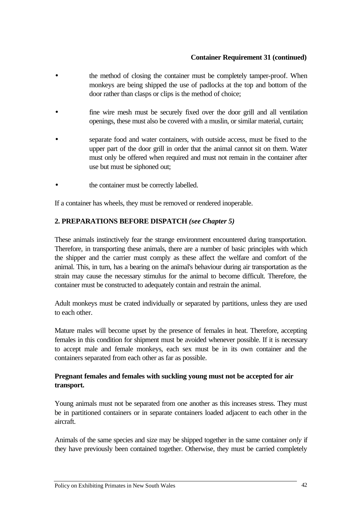## **Container Requirement 31 (continued)**

- the method of closing the container must be completely tamper-proof. When monkeys are being shipped the use of padlocks at the top and bottom of the door rather than clasps or clips is the method of choice;
- fine wire mesh must be securely fixed over the door grill and all ventilation openings, these must also be covered with a muslin, or similar material, curtain;
- separate food and water containers, with outside access, must be fixed to the upper part of the door grill in order that the animal cannot sit on them. Water must only be offered when required and must not remain in the container after use but must be siphoned out;
- the container must be correctly labelled.

If a container has wheels, they must be removed or rendered inoperable.

## **2. PREPARATIONS BEFORE DISPATCH** *(see Chapter 5)*

These animals instinctively fear the strange environment encountered during transportation. Therefore, in transporting these animals, there are a number of basic principles with which the shipper and the carrier must comply as these affect the welfare and comfort of the animal. This, in turn, has a bearing on the animal's behaviour during air transportation as the strain may cause the necessary stimulus for the animal to become difficult. Therefore, the container must be constructed to adequately contain and restrain the animal.

Adult monkeys must be crated individually or separated by partitions, unless they are used to each other.

Mature males will become upset by the presence of females in heat. Therefore, accepting females in this condition for shipment must be avoided whenever possible. If it is necessary to accept male and female monkeys, each sex must be in its own container and the containers separated from each other as far as possible.

## **Pregnant females and females with suckling young must not be accepted for air transport.**

Young animals must not be separated from one another as this increases stress. They must be in partitioned containers or in separate containers loaded adjacent to each other in the aircraft.

Animals of the same species and size may be shipped together in the same container *only* if they have previously been contained together. Otherwise, they must be carried completely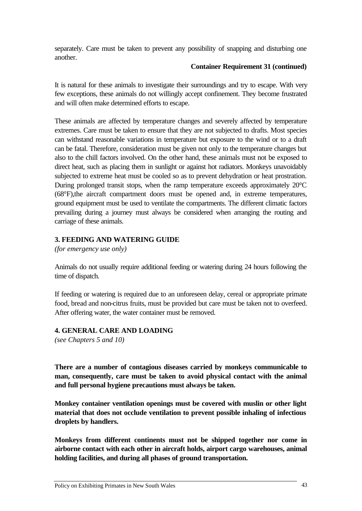separately. Care must be taken to prevent any possibility of snapping and disturbing one another.

#### **Container Requirement 31 (continued)**

It is natural for these animals to investigate their surroundings and try to escape. With very few exceptions, these animals do not willingly accept confinement. They become frustrated and will often make determined efforts to escape.

These animals are affected by temperature changes and severely affected by temperature extremes. Care must be taken to ensure that they are not subjected to drafts. Most species can withstand reasonable variations in temperature but exposure to the wind or to a draft can be fatal. Therefore, consideration must be given not only to the temperature changes but also to the chill factors involved. On the other hand, these animals must not be exposed to direct heat, such as placing them in sunlight or against hot radiators. Monkeys unavoidably subjected to extreme heat must be cooled so as to prevent dehydration or heat prostration. During prolonged transit stops, when the ramp temperature exceeds approximately 20°C (68°F),the aircraft compartment doors must be opened and, in extreme temperatures, ground equipment must be used to ventilate the compartments. The different climatic factors prevailing during a journey must always be considered when arranging the routing and carriage of these animals.

## **3. FEEDING AND WATERING GUIDE**

*(for emergency use only)*

Animals do not usually require additional feeding or watering during 24 hours following the time of dispatch.

If feeding or watering is required due to an unforeseen delay, cereal or appropriate primate food, bread and non-citrus fruits, must be provided but care must be taken not to overfeed. After offering water, the water container must be removed.

## **4. GENERAL CARE AND LOADING**

*(see Chapters 5 and 10)*

**There are a number of contagious diseases carried by monkeys communicable to man, consequently, care must be taken to avoid physical contact with the animal and full personal hygiene precautions must always be taken.**

**Monkey container ventilation openings must be covered with muslin or other light material that does not occlude ventilation to prevent possible inhaling of infectious droplets by handlers.**

**Monkeys from different continents must not be shipped together nor come in airborne contact with each other in aircraft holds, airport cargo warehouses, animal holding facilities, and during all phases of ground transportation.**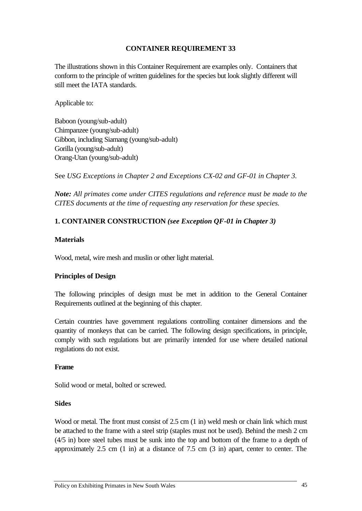## **CONTAINER REQUIREMENT 33**

The illustrations shown in this Container Requirement are examples only. Containers that conform to the principle of written guidelines for the species but look slightly different will still meet the IATA standards.

Applicable to:

Baboon (young/sub-adult) Chimpanzee (young/sub-adult) Gibbon, including Siamang (young/sub-adult) Gorilla (young/sub-adult) Orang-Utan (young/sub-adult)

See *USG Exceptions in Chapter 2 and Exceptions CX-02 and GF-01 in Chapter 3.*

*Note: All primates come under CITES regulations and reference must be made to the CITES documents at the time of requesting any reservation for these species.*

## **1. CONTAINER CONSTRUCTION** *(see Exception QF-01 in Chapter 3)*

#### **Materials**

Wood, metal, wire mesh and muslin or other light material.

## **Principles of Design**

The following principles of design must be met in addition to the General Container Requirements outlined at the beginning of this chapter.

Certain countries have government regulations controlling container dimensions and the quantity of monkeys that can be carried. The following design specifications, in principle, comply with such regulations but are primarily intended for use where detailed national regulations do not exist.

#### **Frame**

Solid wood or metal, bolted or screwed.

#### **Sides**

Wood or metal. The front must consist of 2.5 cm (1 in) weld mesh or chain link which must be attached to the frame with a steel strip (staples must not be used). Behind the mesh 2 cm (4/5 in) bore steel tubes must be sunk into the top and bottom of the frame to a depth of approximately 2.5 cm (1 in) at a distance of 7.5 cm (3 in) apart, center to center. The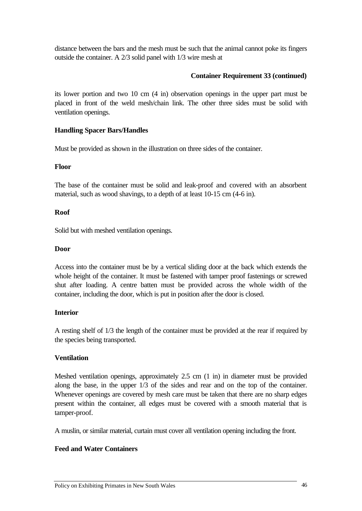distance between the bars and the mesh must be such that the animal cannot poke its fingers outside the container. A 2/3 solid panel with 1/3 wire mesh at

## **Container Requirement 33 (continued)**

its lower portion and two 10 cm (4 in) observation openings in the upper part must be placed in front of the weld mesh/chain link. The other three sides must be solid with ventilation openings.

## **Handling Spacer Bars/Handles**

Must be provided as shown in the illustration on three sides of the container.

#### **Floor**

The base of the container must be solid and leak-proof and covered with an absorbent material, such as wood shavings, to a depth of at least 10-15 cm (4-6 in).

## **Roof**

Solid but with meshed ventilation openings.

#### **Door**

Access into the container must be by a vertical sliding door at the back which extends the whole height of the container. It must be fastened with tamper proof fastenings or screwed shut after loading. A centre batten must be provided across the whole width of the container, including the door, which is put in position after the door is closed.

## **Interior**

A resting shelf of 1/3 the length of the container must be provided at the rear if required by the species being transported.

## **Ventilation**

Meshed ventilation openings, approximately 2.5 cm (1 in) in diameter must be provided along the base, in the upper 1/3 of the sides and rear and on the top of the container. Whenever openings are covered by mesh care must be taken that there are no sharp edges present within the container, all edges must be covered with a smooth material that is tamper-proof.

A muslin, or similar material, curtain must cover all ventilation opening including the front.

## **Feed and Water Containers**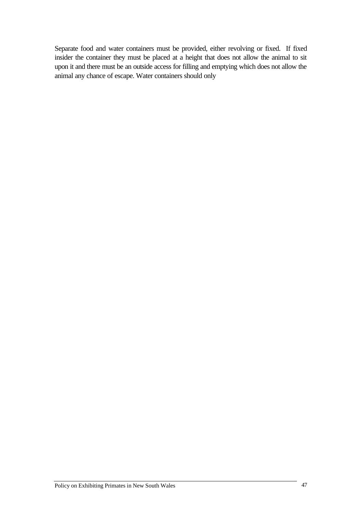Separate food and water containers must be provided, either revolving or fixed. If fixed insider the container they must be placed at a height that does not allow the animal to sit upon it and there must be an outside access for filling and emptying which does not allow the animal any chance of escape. Water containers should only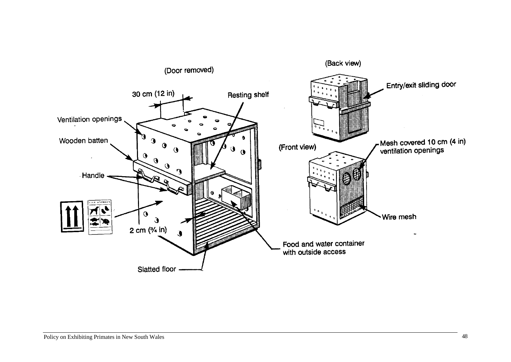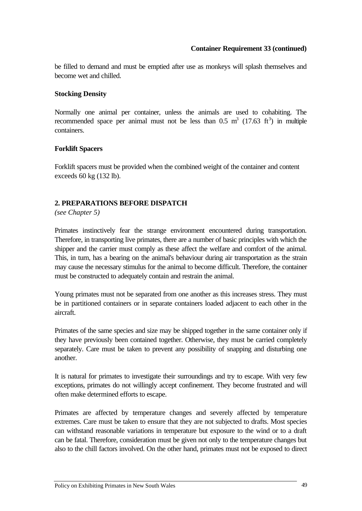## **Container Requirement 33 (continued)**

be filled to demand and must be emptied after use as monkeys will splash themselves and become wet and chilled.

## **Stocking Density**

Normally one animal per container, unless the animals are used to cohabiting. The recommended space per animal must not be less than  $0.5 \text{ m}^3$  (17.63 ft<sup>3</sup>) in multiple containers.

## **Forklift Spacers**

Forklift spacers must be provided when the combined weight of the container and content exceeds 60 kg (132 lb).

## **2. PREPARATIONS BEFORE DISPATCH**

*(see Chapter 5)*

Primates instinctively fear the strange environment encountered during transportation. Therefore, in transporting live primates, there are a number of basic principles with which the shipper and the carrier must comply as these affect the welfare and comfort of the animal. This, in turn, has a bearing on the animal's behaviour during air transportation as the strain may cause the necessary stimulus for the animal to become difficult. Therefore, the container must be constructed to adequately contain and restrain the animal.

Young primates must not be separated from one another as this increases stress. They must be in partitioned containers or in separate containers loaded adjacent to each other in the aircraft.

Primates of the same species and size may be shipped together in the same container only if they have previously been contained together. Otherwise, they must be carried completely separately. Care must be taken to prevent any possibility of snapping and disturbing one another.

It is natural for primates to investigate their surroundings and try to escape. With very few exceptions, primates do not willingly accept confinement. They become frustrated and will often make determined efforts to escape.

Primates are affected by temperature changes and severely affected by temperature extremes. Care must be taken to ensure that they are not subjected to drafts. Most species can withstand reasonable variations in temperature but exposure to the wind or to a draft can be fatal. Therefore, consideration must be given not only to the temperature changes but also to the chill factors involved. On the other hand, primates must not be exposed to direct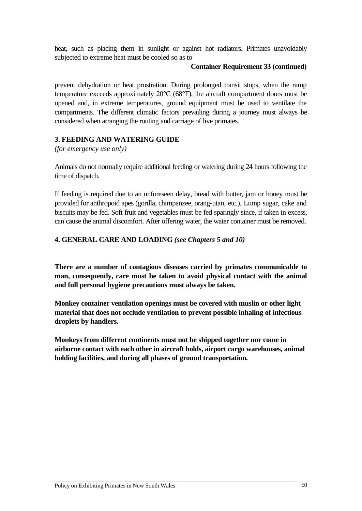heat, such as placing them in sunlight or against hot radiators. Primates unavoidably subjected to extreme heat must be cooled so as to

#### **Container Requirement 33 (continued)**

prevent dehydration or heat prostration. During prolonged transit stops, when the ramp temperature exceeds approximately 20°C (68°F), the aircraft compartment doors must be opened and, in extreme temperatures, ground equipment must be used to ventilate the compartments. The different climatic factors prevailing during a journey must always be considered when arranging the routing and carriage of live primates.

## **3. FEEDING AND WATERING GUIDE**

*(for emergency use only)*

Animals do not normally require additional feeding or watering during 24 hours following the time of dispatch.

If feeding is required due to an unforeseen delay, bread with butter, jam or honey must be provided for anthropoid apes (gorilla, chimpanzee, orang-utan, etc.). Lump sugar, cake and biscuits may be fed. Soft fruit and vegetables must be fed sparingly since, if taken in excess, can cause the animal discomfort. After offering water, the water container must be removed.

## **4. GENERAL CARE AND LOADING** *(see Chapters 5 and 10)*

**There are a number of contagious diseases carried by primates communicable to man, consequently, care must be taken to avoid physical contact with the animal and full personal hygiene precautions must always be taken.**

**Monkey container ventilation openings must be covered with muslin or other light material that does not occlude ventilation to prevent possible inhaling of infectious droplets by handlers.**

**Monkeys from different continents must not be shipped together nor come in airborne contact with each other in aircraft holds, airport cargo warehouses, animal holding facilities, and during all phases of ground transportation.**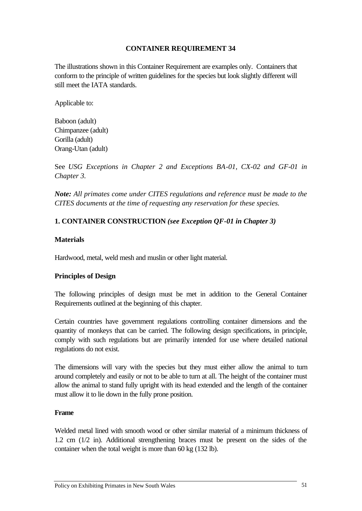## **CONTAINER REQUIREMENT 34**

The illustrations shown in this Container Requirement are examples only. Containers that conform to the principle of written guidelines for the species but look slightly different will still meet the IATA standards.

Applicable to:

Baboon (adult) Chimpanzee (adult) Gorilla (adult) Orang-Utan (adult)

See *USG Exceptions in Chapter 2 and Exceptions BA-01, CX-02 and GF-01 in Chapter 3.*

*Note: All primates come under CITES regulations and reference must be made to the CITES documents at the time of requesting any reservation for these species.*

## **1. CONTAINER CONSTRUCTION** *(see Exception QF-01 in Chapter 3)*

#### **Materials**

Hardwood, metal, weld mesh and muslin or other light material.

## **Principles of Design**

The following principles of design must be met in addition to the General Container Requirements outlined at the beginning of this chapter.

Certain countries have government regulations controlling container dimensions and the quantity of monkeys that can be carried. The following design specifications, in principle, comply with such regulations but are primarily intended for use where detailed national regulations do not exist.

The dimensions will vary with the species but they must either allow the animal to turn around completely and easily or not to be able to turn at all. The height of the container must allow the animal to stand fully upright with its head extended and the length of the container must allow it to lie down in the fully prone position.

#### **Frame**

Welded metal lined with smooth wood or other similar material of a minimum thickness of 1.2 cm (1/2 in). Additional strengthening braces must be present on the sides of the container when the total weight is more than 60 kg (132 lb).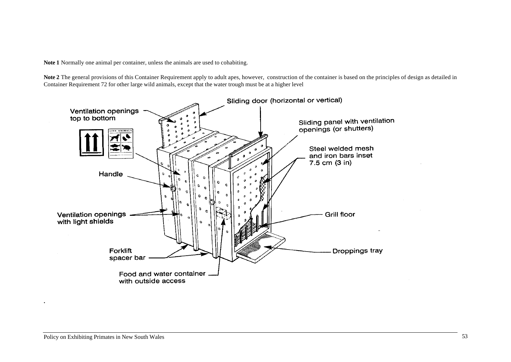**Note 1** Normally one animal per container, unless the animals are used to cohabiting.

**Note 2** The general provisions of this Container Requirement apply to adult apes, however, construction of the container is based on the principles of design as detailed in Container Requirement 72 for other large wild animals, except that the water trough must be at a higher level



**.**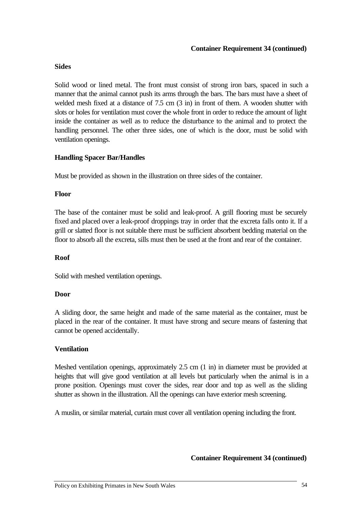#### **Container Requirement 34 (continued)**

#### **Sides**

Solid wood or lined metal. The front must consist of strong iron bars, spaced in such a manner that the animal cannot push its arms through the bars. The bars must have a sheet of welded mesh fixed at a distance of 7.5 cm (3 in) in front of them. A wooden shutter with slots or holes for ventilation must cover the whole front in order to reduce the amount of light inside the container as well as to reduce the disturbance to the animal and to protect the handling personnel. The other three sides, one of which is the door, must be solid with ventilation openings.

## **Handling Spacer Bar/Handles**

Must be provided as shown in the illustration on three sides of the container.

#### **Floor**

The base of the container must be solid and leak-proof. A grill flooring must be securely fixed and placed over a leak-proof droppings tray in order that the excreta falls onto it. If a grill or slatted floor is not suitable there must be sufficient absorbent bedding material on the floor to absorb all the excreta, sills must then be used at the front and rear of the container.

#### **Roof**

Solid with meshed ventilation openings.

## **Door**

A sliding door, the same height and made of the same material as the container, must be placed in the rear of the container. It must have strong and secure means of fastening that cannot be opened accidentally.

## **Ventilation**

Meshed ventilation openings, approximately 2.5 cm (1 in) in diameter must be provided at heights that will give good ventilation at all levels but particularly when the animal is in a prone position. Openings must cover the sides, rear door and top as well as the sliding shutter as shown in the illustration. All the openings can have exterior mesh screening.

A muslin, or similar material, curtain must cover all ventilation opening including the front.

**Container Requirement 34 (continued)**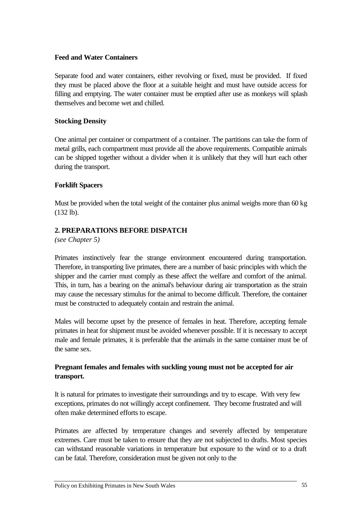#### **Feed and Water Containers**

Separate food and water containers, either revolving or fixed, must be provided. If fixed they must be placed above the floor at a suitable height and must have outside access for filling and emptying. The water container must be emptied after use as monkeys will splash themselves and become wet and chilled.

## **Stocking Density**

One animal per container or compartment of a container. The partitions can take the form of metal grills, each compartment must provide all the above requirements. Compatible animals can be shipped together without a divider when it is unlikely that they will hurt each other during the transport.

#### **Forklift Spacers**

Must be provided when the total weight of the container plus animal weighs more than 60 kg (132 lb).

## **2. PREPARATIONS BEFORE DISPATCH**

*(see Chapter 5)*

Primates instinctively fear the strange environment encountered during transportation. Therefore, in transporting live primates, there are a number of basic principles with which the shipper and the carrier must comply as these affect the welfare and comfort of the animal. This, in turn, has a bearing on the animal's behaviour during air transportation as the strain may cause the necessary stimulus for the animal to become difficult. Therefore, the container must be constructed to adequately contain and restrain the animal.

Males will become upset by the presence of females in heat. Therefore, accepting female primates in heat for shipment must be avoided whenever possible. If it is necessary to accept male and female primates, it is preferable that the animals in the same container must be of the same sex.

## **Pregnant females and females with suckling young must not be accepted for air transport.**

It is natural for primates to investigate their surroundings and try to escape. With very few exceptions, primates do not willingly accept confinement. They become frustrated and will often make determined efforts to escape.

Primates are affected by temperature changes and severely affected by temperature extremes. Care must be taken to ensure that they are not subjected to drafts. Most species can withstand reasonable variations in temperature but exposure to the wind or to a draft can be fatal. Therefore, consideration must be given not only to the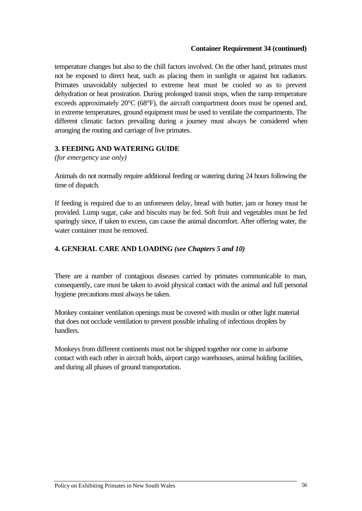#### **Container Requirement 34 (continued)**

temperature changes but also to the chill factors involved. On the other hand, primates must not be exposed to direct heat, such as placing them in sunlight or against hot radiators. Primates unavoidably subjected to extreme heat must be cooled so as to prevent dehydration or heat prostration. During prolonged transit stops, when the ramp temperature exceeds approximately 20°C (68°F), the aircraft compartment doors must be opened and, in extreme temperatures, ground equipment must be used to ventilate the compartments. The different climatic factors prevailing during a journey must always be considered when arranging the routing and carriage of live primates.

## **3. FEEDING AND WATERING GUIDE**

*(for emergency use only)*

Animals do not normally require additional feeding or watering during 24 hours following the time of dispatch.

If feeding is required due to an unforeseen delay, bread with butter, jam or honey must be provided. Lump sugar, cake and biscuits may be fed. Soft fruit and vegetables must be fed sparingly since, if taken to excess, can cause the animal discomfort. After offering water, the water container must be removed.

## **4. GENERAL CARE AND LOADING** *(see Chapters 5 and 10)*

There are a number of contagious diseases carried by primates communicable to man, consequently, care must be taken to avoid physical contact with the animal and full personal hygiene precautions must always be taken.

Monkey container ventilation openings must be covered with muslin or other light material that does not occlude ventilation to prevent possible inhaling of infectious droplets by handlers.

Monkeys from different continents must not be shipped together nor come in airborne contact with each other in aircraft holds, airport cargo warehouses, animal holding facilities, and during all phases of ground transportation.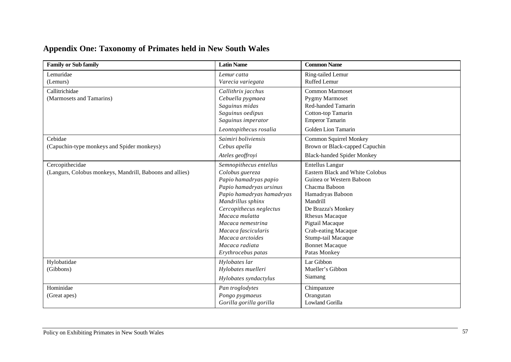## **Appendix One: Taxonomy of Primates held in New South Wales**

| <b>Family or Sub family</b>                              | <b>Latin Name</b>         | <b>Common Name</b>                     |
|----------------------------------------------------------|---------------------------|----------------------------------------|
| Lemuridae                                                | Lemur catta               | Ring-tailed Lemur                      |
| (Lemurs)                                                 | Varecia variegata         | Ruffed Lemur                           |
| Callitrichidae                                           | Callithrix jacchus        | <b>Common Marmoset</b>                 |
| (Marmosets and Tamarins)                                 | Cebuella pygmaea          | <b>Pygmy Marmoset</b>                  |
|                                                          | Saguinus midas            | Red-handed Tamarin                     |
|                                                          | Saguinus oedipus          | Cotton-top Tamarin                     |
|                                                          | Saguinus imperator        | <b>Emperor Tamarin</b>                 |
|                                                          | Leontopithecus rosalia    | Golden Lion Tamarin                    |
| Cebidae                                                  | Saimiri boliviensis       | <b>Common Squirrel Monkey</b>          |
| (Capuchin-type monkeys and Spider monkeys)               | Cebus apella              | Brown or Black-capped Capuchin         |
|                                                          | Ateles geoffroyi          | <b>Black-handed Spider Monkey</b>      |
| Cercopithecidae                                          | Semnopithecus entellus    | <b>Entellus Langur</b>                 |
| (Langurs, Colobus monkeys, Mandrill, Baboons and allies) | Colobus guereza           | <b>Eastern Black and White Colobus</b> |
|                                                          | Papio hamadryas papio     | Guinea or Western Baboon               |
|                                                          | Papio hamadryas ursinus   | Chacma Baboon                          |
|                                                          | Papio hamadryas hamadryas | Hamadryas Baboon                       |
|                                                          | Mandrillus sphinx         | Mandrill                               |
|                                                          | Cercopithecus neglectus   | De Brazza's Monkey                     |
|                                                          | Macaca mulatta            | <b>Rhesus Macaque</b>                  |
|                                                          | Macaca nemestrina         | Pigtail Macaque                        |
|                                                          | Macaca fascicularis       | Crab-eating Macaque                    |
|                                                          | Macaca arctoides          | Stump-tail Macaque                     |
|                                                          | Macaca radiata            | <b>Bonnet Macaque</b>                  |
|                                                          | Erythrocebus patas        | Patas Monkey                           |
| Hylobatidae                                              | Hylobates lar             | Lar Gibbon                             |
| (Gibbons)                                                | Hylobates muelleri        | Mueller's Gibbon                       |
|                                                          | Hylobates syndactylus     | Siamang                                |
| Hominidae                                                | Pan troglodytes           | Chimpanzee                             |
| (Great apes)                                             | Pongo pygmaeus            | Orangutan                              |
|                                                          | Gorilla gorilla gorilla   | <b>Lowland Gorilla</b>                 |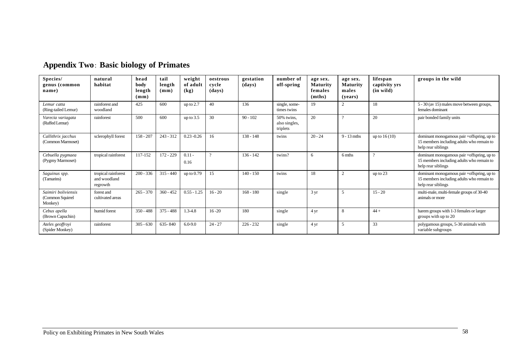| Species/<br>genus (common<br>name)                 | natural<br>habitat                              | head<br>body<br>length<br>(mm) | tail<br>length<br>$(\mathbf{mm})$ | weight<br>of adult<br>$\left( \mathbf{kg} \right)$ | oestrous<br>cycle<br>(days) | gestation<br>(days) | number of<br>off-spring                 | age sex.<br><b>Maturity</b><br>females<br>(mths) | age sex.<br><b>Maturity</b><br>males<br>(vears) | lifespan<br>captivity yrs<br>(in wild) | groups in the wild                                                                                            |
|----------------------------------------------------|-------------------------------------------------|--------------------------------|-----------------------------------|----------------------------------------------------|-----------------------------|---------------------|-----------------------------------------|--------------------------------------------------|-------------------------------------------------|----------------------------------------|---------------------------------------------------------------------------------------------------------------|
| Lemur catta<br>(Ring-tailed Lemur)                 | rainforest and<br>woodland                      | 425                            | 600                               | up to $2.7$                                        | 40                          | 136                 | single, some-<br>times twins            | 19                                               |                                                 | 18                                     | 5 - 30 (av 15) males move between groups,<br>females dominant                                                 |
| Varecia variagata<br>(Ruffed Lemur)                | rainforest                                      | 500                            | 600                               | up to $3.5$                                        | 30                          | $90 - 102$          | 50% twins.<br>also singles,<br>triplets | 20                                               | $\Omega$                                        | 20                                     | pair bonded family units                                                                                      |
| Callithrix jacchus<br>(Common Marmoset)            | sclerophyll forest                              | $158 - 207$                    | $243 - 312$                       | $0.23 - 0.26$                                      | 16                          | $138 - 148$         | twins                                   | $20 - 24$                                        | $9 - 13$ mths                                   | up to $16(10)$                         | dominant monogamous pair +offspring, up to<br>15 members including adults who remain to<br>help rear siblings |
| Cebuella pygmaea<br>(Pygmy Marmoset)               | tropical rainforest                             | 117-152                        | 172 - 229                         | $0.11 -$<br>0.16                                   | $\Omega$                    | $136 - 142$         | twins?                                  | 6                                                | 6 mths                                          | $\Omega$                               | dominant monogamous pair +offspring, up to<br>15 members including adults who remain to<br>help rear siblings |
| Saguinus spp.<br>(Tamarins)                        | tropical rainforest<br>and woodland<br>regrowth | $200 - 336$                    | $315 - 440$                       | up to $0.79$                                       | 15                          | $140 - 150$         | twins                                   | 18                                               | $\overline{2}$                                  | up to $23$                             | dominant monogamous pair +offspring, up to<br>15 members including adults who remain to<br>help rear siblings |
| Saimiri boliviensis<br>(Common Squirrel<br>Monkey) | forest and<br>cultivated areas                  | $265 - 370$                    | $360 - 452$                       | $0.55 - 1.25$                                      | $16 - 20$                   | $168 - 180$         | single                                  | $3 \text{ yr}$                                   |                                                 | $15 - 20$                              | multi-male, multi-female groups of 30-40<br>animals or more                                                   |
| Cebus apella<br>(Brown Capuchin)                   | humid forest                                    | $350 - 488$                    | $375 - 488$                       | $1.3 - 4.8$                                        | $16 - 20$                   | 180                 | single                                  | 4 yr                                             | 8                                               | $44 +$                                 | harem groups with 1-3 females or larger<br>groups with up to 20                                               |
| Ateles geoffroyi<br>(Spider Monkey)                | rainforest                                      | $305 - 630$                    | 635-840                           | $6.0 - 9.0$                                        | $24 - 27$                   | $226 - 232$         | single                                  | 4 yr                                             | 5                                               | 33                                     | polygamous groups, 5-30 animals with<br>variable subgroups                                                    |

# **Appendix Two**: **Basic biology of Primates**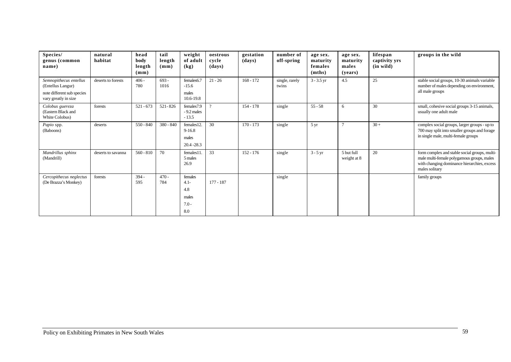| Species/<br>genus (common<br>name)                                              | natural<br>habitat | head<br>body<br>length<br>$(\mathbf{mm})$ | tail<br>length<br>$(\mathbf{mm})$ | weight<br>of adult<br>(kg)                           | oestrous<br>cycle<br>(days) | gestation<br>(days) | number of<br>off-spring | age sex.<br>maturity<br>females<br>(mths) | age sex.<br>maturity<br>males<br>( <b>years</b> ) | lifespan<br>captivity yrs<br>$(in \text{ wild})$ | groups in the wild                                                                                                                                           |
|---------------------------------------------------------------------------------|--------------------|-------------------------------------------|-----------------------------------|------------------------------------------------------|-----------------------------|---------------------|-------------------------|-------------------------------------------|---------------------------------------------------|--------------------------------------------------|--------------------------------------------------------------------------------------------------------------------------------------------------------------|
| Semnopithecus entellus<br>(Entellus Langur)<br>note different sub species       | deserts to forests | $406 -$<br>780                            | $693 -$<br>1016                   | females6.7<br>$-15.6$<br>males                       | $21 - 26$                   | $168 - 172$         | single, rarely<br>twins | $3 - 3.5$ yr                              | 4.5                                               | 25                                               | stable social groups, 10-30 animals variable<br>number of males depending on environment,<br>all male groups                                                 |
| vary greatly in size<br>Colobus guereza<br>(Eastern Black and<br>White Colobus) | forests            | $521 - 673$                               | 521-826                           | 10.6-19.8<br>females7.9<br>$-9.2$ males<br>$-13.5$   |                             | $154 - 178$         | single                  | $55 - 58$                                 | 6                                                 | 30                                               | small, cohesive social groups 3-15 animals,<br>usually one adult male                                                                                        |
| Papio spp.<br>(Baboons)                                                         | deserts            | $550 - 840$                               | 380 - 840                         | females12.<br>$9 - 16.8$<br>males<br>$20.4 - 28.3$   | 30                          | $170 - 173$         | single                  | $5 \,\mathrm{yr}$                         | $\tau$                                            | $30 +$                                           | complex social groups, larger groups - up to<br>700 may split into smaller groups and forage<br>in single male, multi-female groups                          |
| Mandrillus sphinx<br>(Mandrill)                                                 | deserts to savanna | $560 - 810$                               | 70                                | females11.<br>5 males<br>26.9                        | 33                          | $152 - 176$         | single                  | $3 - 5$ yr                                | 5 but full<br>weight at 8                         | 20                                               | form complex and stable social groups, multi-<br>male multi-female polygamous groups, males<br>with changing dominance hierarchies, excess<br>males solitary |
| Cercopithecus neglectus<br>(De Brazza's Monkey)                                 | forests            | $394 -$<br>595                            | $470 -$<br>784                    | females<br>$4.1 -$<br>4.8<br>males<br>$7.0 -$<br>8.0 | $177 - 187$                 |                     | single                  |                                           |                                                   |                                                  | family groups                                                                                                                                                |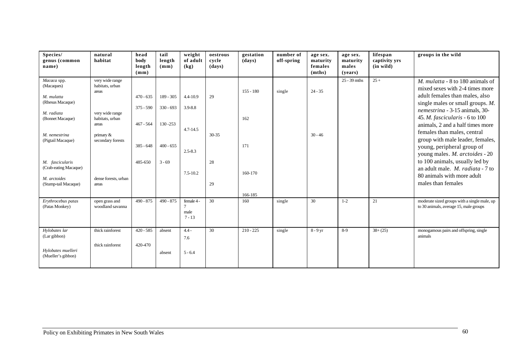| Species/<br>genus (common<br>name)                                                                                                  | natural<br>habitat                                                                                                              | head<br>body<br>length<br>$(\mathbf{mm})$                | tail<br>length<br>(mm)                               | weight<br>of adult<br>(kg)                         | oestrous<br>cycle<br>(days) | gestation<br>(days)       | number of<br>off-spring | age sex.<br>maturity<br>females<br>(mths) | age sex.<br>maturity<br>males<br>(vears) | lifespan<br>captivity yrs<br>$(in \text{ wild})$ | groups in the wild                                                                                                                                                                                                                                                                                                                                                                                  |
|-------------------------------------------------------------------------------------------------------------------------------------|---------------------------------------------------------------------------------------------------------------------------------|----------------------------------------------------------|------------------------------------------------------|----------------------------------------------------|-----------------------------|---------------------------|-------------------------|-------------------------------------------|------------------------------------------|--------------------------------------------------|-----------------------------------------------------------------------------------------------------------------------------------------------------------------------------------------------------------------------------------------------------------------------------------------------------------------------------------------------------------------------------------------------------|
| Macaca spp.<br>(Macaques)<br>M. mulatta<br>(Rhesus Macaque)<br>M. radiata<br>(Bonnet Macaque)<br>M. nemestrina<br>(Pigtail Macaque) | very wide range<br>habitats, urban<br>areas<br>very wide range<br>habitats, urban<br>areas<br>primary $\&$<br>secondary forests | $470 - 635$<br>$375 - 590$<br>$467 - 564$<br>$385 - 648$ | $189 - 305$<br>$330 - 693$<br>130-253<br>$400 - 655$ | 4.4-10.9<br>3.9-8.8<br>$4.7 - 14.5$<br>$2.5 - 8.3$ | 29<br>30-35                 | $155 - 180$<br>162<br>171 | single                  | $24 - 35$<br>$30 - 46$                    | $25 - 39$ mths                           | $25+$                                            | <i>M. mulatta</i> $-8$ to 180 animals of<br>mixed sexes with 2-4 times more<br>adult females than males, also<br>single males or small groups. M.<br>nemestrina - 3-15 animals, 30-<br>45. <i>M. fascicularis</i> - 6 to 100<br>animals, 2 and a half times more<br>females than males, central<br>group with male leader, females,<br>young, peripheral group of<br>young males. M. arctoides - 20 |
| M. fascicularis<br>(Crab-eating Macaque)<br>M. arctoides<br>(Stump-tail Macaque)                                                    | dense forests, urban<br>areas                                                                                                   | 485-650                                                  | $3 - 69$                                             | $7.5 - 10.2$                                       | 28<br>29                    | 160-170<br>166-185        |                         |                                           |                                          |                                                  | to 100 animals, usually led by<br>an adult male. M. radiata - 7 to<br>80 animals with more adult<br>males than females                                                                                                                                                                                                                                                                              |
| Erythrocebus patas<br>(Patas Monkey)                                                                                                | open grass and<br>woodland savanna                                                                                              | $490 - 875$                                              | $490 - 875$                                          | female 4 -<br>$\tau$<br>male<br>$7 - 13$           | 30                          | 160                       | single                  | 30                                        | $1 - 2$                                  | 21                                               | moderate sized groups with a single male, up<br>to 30 animals, average 15, male groups                                                                                                                                                                                                                                                                                                              |
| Hylobates lar<br>(Lar gibbon)<br>Hylobates muelleri<br>(Mueller's gibbon)                                                           | thick rainforest<br>thick rainforest                                                                                            | $420 - 585$<br>420-470                                   | absent<br>absent                                     | $4.4 -$<br>7.6<br>$5 - 6.4$                        | 30                          | $210 - 225$               | single                  | 8 - 9 yr                                  | 8-9                                      | $38 + (25)$                                      | monogamous pairs and offspring, single<br>animals                                                                                                                                                                                                                                                                                                                                                   |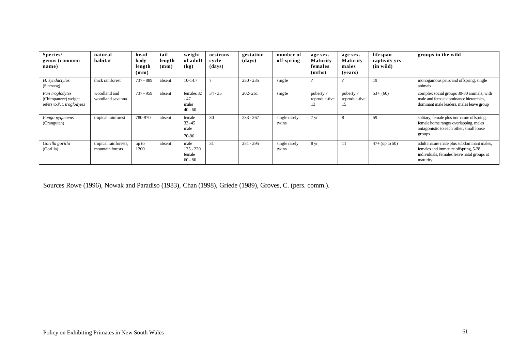| Species/<br>genus (common<br>name)                                     | natural<br>habitat                        | head<br>body<br>length<br>$(\mathbf{mm})$ | tail<br>length<br>$(\mathbf{mm})$ | weight<br>of adult<br>(kg)                 | oestrous<br>cycle<br>(days) | gestation<br>(days) | number of<br>off-spring | age sex.<br><b>Maturity</b><br>females<br>(mths) | age sex.<br><b>Maturity</b><br>males<br>(years) | lifespan<br>captivity yrs<br>$(in \text{ wild})$ | groups in the wild                                                                                                                          |
|------------------------------------------------------------------------|-------------------------------------------|-------------------------------------------|-----------------------------------|--------------------------------------------|-----------------------------|---------------------|-------------------------|--------------------------------------------------|-------------------------------------------------|--------------------------------------------------|---------------------------------------------------------------------------------------------------------------------------------------------|
| H. syndactylus<br>(Siamang)                                            | thick rainforest                          | 737 - 889                                 | absent                            | $10-14.7$                                  |                             | $230 - 235$         | single                  |                                                  |                                                 | 19                                               | monogamous pairs and offspring, single<br>animals                                                                                           |
| Pan troglodytes<br>(Chimpanzee) weight<br>refers to $P.t.$ troglodytes | woodland and<br>woodland savanna          | $737 - 959$                               | absent                            | females 32<br>$-47$<br>males<br>$40 - 60$  | $34 - 35$                   | $202 - 261$         | single                  | puberty 7<br>reproduc-tive<br>-15                | puberty 7<br>reproduc-tive<br>12                | $53+ (60)$                                       | complex social groups 30-80 animals, with<br>male and female dominance hierarchies,<br>dominant male leaders, males leave group             |
| Pongo pygmaeus<br>(Orangutan)                                          | tropical rainforest                       | 780-970                                   | absent                            | female<br>$33 - 45$<br>male<br>70-90       | 30                          | $233 - 267$         | single rarely<br>twins  | $7 \,\mathrm{yr}$                                | 8                                               | 59                                               | solitary, female plus immature offspring,<br>female home ranges overlapping, males<br>antagonistic to each other, small loose<br>groups     |
| Gorilla gorilla<br>(Gorilla)                                           | tropical rainforests,<br>mountain forests | up to<br>1200                             | absent                            | male<br>$135 - 220$<br>female<br>$60 - 80$ | 31                          | $251 - 295$         | single rarely<br>twins  | 8 yr                                             | -11                                             | $47+$ (up to 50)                                 | adult mature male plus subdominant males,<br>females and immature offspring, 5-28<br>individuals, females leave natal groups at<br>maturity |

Sources Rowe (1996), Nowak and Paradiso (1983), Chan (1998), Griede (1989), Groves, C. (pers. comm.).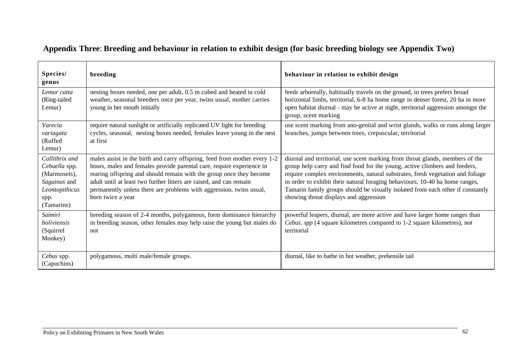| Species/<br>genus                                                                                       | breeding                                                                                                                                                                                                                                                                                                                                                                                     | behaviour in relation to exhibit design                                                                                                                                                                                                                                                                                                                                                                                                                    |
|---------------------------------------------------------------------------------------------------------|----------------------------------------------------------------------------------------------------------------------------------------------------------------------------------------------------------------------------------------------------------------------------------------------------------------------------------------------------------------------------------------------|------------------------------------------------------------------------------------------------------------------------------------------------------------------------------------------------------------------------------------------------------------------------------------------------------------------------------------------------------------------------------------------------------------------------------------------------------------|
| Lemur catta<br>(Ring-tailed<br>Lemur)                                                                   | nesting boxes needed, one per adult, 0.5 m cubed and heated in cold<br>weather, seasonal breeders once per year, twins usual, mother carries<br>young in her mouth initially                                                                                                                                                                                                                 | feeds arboreally, habitually travels on the ground, in trees prefers broad<br>horizontal limbs, territorial, 6-8 ha home range in denser forest, 20 ha in more<br>open habitat diurnal - may be active at night, territorial aggression amongst the<br>group, scent marking                                                                                                                                                                                |
| Varecia<br>variagata<br>(Ruffed<br>Lemur)                                                               | require natural sunlight or artificially replicated UV light for breeding<br>cycles, seasonal, nesting boxes needed, females leave young in the nest<br>at first                                                                                                                                                                                                                             | use scent marking from ano-genital and wrist glands, walks or runs along larger<br>branches, jumps between trees, crepuscular, territorial                                                                                                                                                                                                                                                                                                                 |
| Callithrix and<br>Cebuella spp.<br>(Marmosets),<br>Saguinus and<br>Leontopithicus<br>spp.<br>(Tamarins) | males assist in the birth and carry offspring, feed from mother every 1-2<br>hours, males and females provide parental care, require experience in<br>rearing offspring and should remain with the group once they become<br>adult until at least two further litters are raised, and can remain<br>permanently unless there are problems with aggression, twins usual,<br>born twice a year | diurnal and territorial, use scent marking from throat glands, members of the<br>group help carry and find food for the young, active climbers and feeders,<br>require complex environments, natural substrates, fresh vegetation and foliage<br>in order to exhibit their natural foraging behaviours, 10-40 ha home ranges,<br>Tamarin family groups should be visually isolated from each other if constantly<br>showing threat displays and aggression |
| Saimiri<br>boliviensis<br>(Squirrel<br>Monkey)                                                          | breeding season of 2-4 months, polygamous, form dominance hierarchy<br>in breeding season, other females may help raise the young but males do<br>not                                                                                                                                                                                                                                        | powerful leapers, diurnal, are more active and have larger home ranges than<br>Cebus. spp (4 square kilometres compared to 1-2 square kilometres), not<br>territorial                                                                                                                                                                                                                                                                                      |
| Cebus spp.<br>(Capuchins)                                                                               | polygamous, multi male/female groups.                                                                                                                                                                                                                                                                                                                                                        | diurnal, like to bathe in hot weather, prehensile tail                                                                                                                                                                                                                                                                                                                                                                                                     |

## **Appendix Three**: **Breeding and behaviour in relation to exhibit design (for basic breeding biology see Appendix Two)**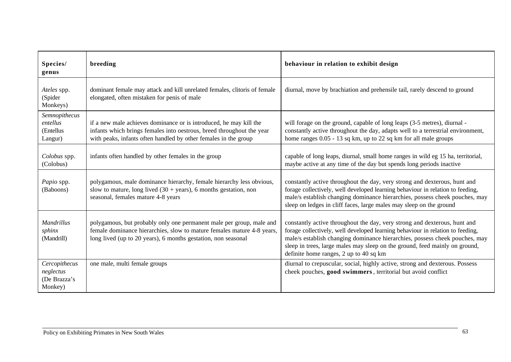| Species/<br>genus                                     | breeding                                                                                                                                                                                                        | behaviour in relation to exhibit design                                                                                                                                                                                                                                                                                                                             |
|-------------------------------------------------------|-----------------------------------------------------------------------------------------------------------------------------------------------------------------------------------------------------------------|---------------------------------------------------------------------------------------------------------------------------------------------------------------------------------------------------------------------------------------------------------------------------------------------------------------------------------------------------------------------|
| Ateles spp.<br>(Spider<br>Monkeys)                    | dominant female may attack and kill unrelated females, clitoris of female<br>elongated, often mistaken for penis of male                                                                                        | diurnal, move by brachiation and prehensile tail, rarely descend to ground                                                                                                                                                                                                                                                                                          |
| Semnopithecus<br>entellus<br>(Entellus<br>Langur)     | if a new male achieves dominance or is introduced, he may kill the<br>infants which brings females into oestrous, breed throughout the year<br>with peaks, infants often handled by other females in the group  | will forage on the ground, capable of long leaps (3-5 metres), diurnal -<br>constantly active throughout the day, adapts well to a terrestrial environment,<br>home ranges 0.05 - 13 sq km, up to 22 sq km for all male groups                                                                                                                                      |
| Colobus spp.<br>(Colobus)                             | infants often handled by other females in the group                                                                                                                                                             | capable of long leaps, diurnal, small home ranges in wild eg 15 ha, territorial,<br>maybe active at any time of the day but spends long periods inactive                                                                                                                                                                                                            |
| Papio spp.<br>(Baboons)                               | polygamous, male dominance hierarchy, female hierarchy less obvious,<br>slow to mature, long lived $(30 + \text{years})$ , 6 months gestation, non<br>seasonal, females mature 4-8 years                        | constantly active throughout the day, very strong and dexterous, hunt and<br>forage collectively, well developed learning behaviour in relation to feeding,<br>male/s establish changing dominance hierarchies, possess cheek pouches, may<br>sleep on ledges in cliff faces, large males may sleep on the ground                                                   |
| <b>Mandrillus</b><br>sphinx<br>(Mandrill)             | polygamous, but probably only one permanent male per group, male and<br>female dominance hierarchies, slow to mature females mature 4-8 years,<br>long lived (up to 20 years), 6 months gestation, non seasonal | constantly active throughout the day, very strong and dexterous, hunt and<br>forage collectively, well developed learning behaviour in relation to feeding,<br>male/s establish changing dominance hierarchies, possess cheek pouches, may<br>sleep in trees, large males may sleep on the ground, feed mainly on ground,<br>definite home ranges, 2 up to 40 sq km |
| Cercopithecus<br>neglectus<br>(De Brazza's<br>Monkey) | one male, multi female groups                                                                                                                                                                                   | diurnal to crepuscular, social, highly active, strong and dexterous. Possess<br>cheek pouches, good swimmers, territorial but avoid conflict                                                                                                                                                                                                                        |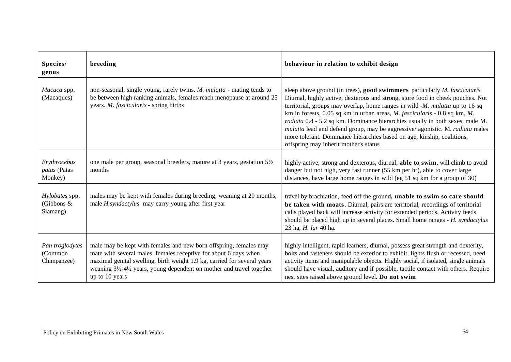| Species/<br>genus                         | breeding                                                                                                                                                                                                                                                                                                      | behaviour in relation to exhibit design                                                                                                                                                                                                                                                                                                                                                                                                                                                                                                                                                                                                             |
|-------------------------------------------|---------------------------------------------------------------------------------------------------------------------------------------------------------------------------------------------------------------------------------------------------------------------------------------------------------------|-----------------------------------------------------------------------------------------------------------------------------------------------------------------------------------------------------------------------------------------------------------------------------------------------------------------------------------------------------------------------------------------------------------------------------------------------------------------------------------------------------------------------------------------------------------------------------------------------------------------------------------------------------|
| Macaca spp.<br>(Macaques)                 | non-seasonal, single young, rarely twins. M. mulatta - mating tends to<br>be between high ranking animals, females reach menopause at around 25<br>years. M. fascicularis - spring births                                                                                                                     | sleep above ground (in trees), good swimmers particularly <i>M. fascicularis.</i><br>Diurnal, highly active, dexterous and strong, store food in cheek pouches. Not<br>territorial, groups may overlap, home ranges in wild $-M$ . mulatta up to 16 sq<br>km in forests, 0.05 sq km in urban areas, <i>M. fascicularis</i> - 0.8 sq km, <i>M.</i><br><i>radiata</i> $0.4$ - 5.2 sq km. Dominance hierarchies usually in both sexes, male $M$ .<br>mulatta lead and defend group, may be aggressive/ agonistic. M. radiata males<br>more tolerant. Dominance hierarchies based on age, kinship, coalitions,<br>offspring may inherit mother's status |
| Erythrocebus<br>patas (Patas<br>Monkey)   | one male per group, seasonal breeders, mature at 3 years, gestation 51/2<br>months                                                                                                                                                                                                                            | highly active, strong and dexterous, diurnal, able to swim, will climb to avoid<br>danger but not high, very fast runner (55 km per hr), able to cover large<br>distances, have large home ranges in wild (eg 51 sq km for a group of 30)                                                                                                                                                                                                                                                                                                                                                                                                           |
| Hylobates spp.<br>(Gibbons &<br>Siamang)  | males may be kept with females during breeding, weaning at 20 months,<br>male <i>H.syndactylus</i> may carry young after first year                                                                                                                                                                           | travel by brachiation, feed off the ground, unable to swim so care should<br>be taken with moats. Diurnal, pairs are territorial, recordings of territorial<br>calls played back will increase activity for extended periods. Activity feeds<br>should be placed high up in several places. Small home ranges - H. syndactylus<br>23 ha, H. lar 40 ha.                                                                                                                                                                                                                                                                                              |
| Pan troglodytes<br>(Common<br>Chimpanzee) | male may be kept with females and new born offspring, females may<br>mate with several males, females receptive for about 6 days when<br>maximal genital swelling, birth weight 1.9 kg, carried for several years<br>weaning 31/2-41/2 years, young dependent on mother and travel together<br>up to 10 years | highly intelligent, rapid learners, diurnal, possess great strength and dexterity,<br>bolts and fasteners should be exterior to exhibit, lights flush or recessed, need<br>activity items and manipulable objects. Highly social, if isolated, single animals<br>should have visual, auditory and if possible, tactile contact with others. Require<br>nest sites raised above ground level. Do not swim                                                                                                                                                                                                                                            |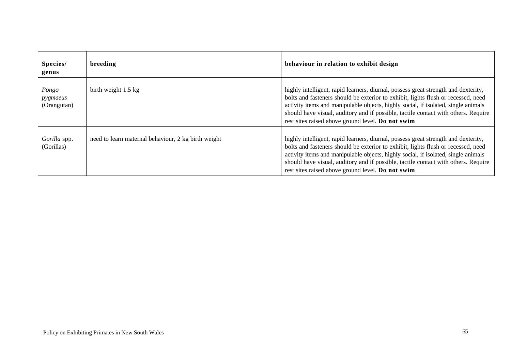| Species/<br>genus                | breeding                                            | behaviour in relation to exhibit design                                                                                                                                                                                                                                                                                                                                                                  |
|----------------------------------|-----------------------------------------------------|----------------------------------------------------------------------------------------------------------------------------------------------------------------------------------------------------------------------------------------------------------------------------------------------------------------------------------------------------------------------------------------------------------|
| Pongo<br>pygmaeus<br>(Orangutan) | birth weight 1.5 kg                                 | highly intelligent, rapid learners, diurnal, possess great strength and dexterity,<br>bolts and fasteners should be exterior to exhibit, lights flush or recessed, need<br>activity items and manipulable objects, highly social, if isolated, single animals<br>should have visual, auditory and if possible, tactile contact with others. Require<br>rest sites raised above ground level. Do not swim |
| Gorilla spp.<br>(Gorillas)       | need to learn maternal behaviour, 2 kg birth weight | highly intelligent, rapid learners, diurnal, possess great strength and dexterity,<br>bolts and fasteners should be exterior to exhibit, lights flush or recessed, need<br>activity items and manipulable objects, highly social, if isolated, single animals<br>should have visual, auditory and if possible, tactile contact with others. Require<br>rest sites raised above ground level. Do not swim |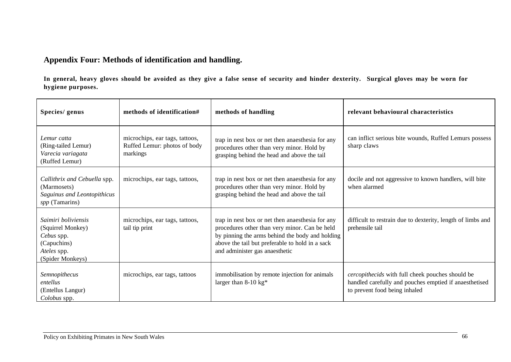## **Appendix Four: Methods of identification and handling.**

**In general, heavy gloves should be avoided as they give a false sense of security and hinder dexterity. Surgical gloves may be worn for hygiene purposes.**

| Species/ genus                                                                                           | methods of identification#                                                 | methods of handling                                                                                                                                                                                                                       | relevant behavioural characteristics                                                                                                        |
|----------------------------------------------------------------------------------------------------------|----------------------------------------------------------------------------|-------------------------------------------------------------------------------------------------------------------------------------------------------------------------------------------------------------------------------------------|---------------------------------------------------------------------------------------------------------------------------------------------|
| Lemur catta<br>(Ring-tailed Lemur)<br>Varecia variagata<br>(Ruffed Lemur)                                | microchips, ear tags, tattoos,<br>Ruffed Lemur: photos of body<br>markings | trap in nest box or net then anaesthesia for any<br>procedures other than very minor. Hold by<br>grasping behind the head and above the tail                                                                                              | can inflict serious bite wounds, Ruffed Lemurs possess<br>sharp claws                                                                       |
| Callithrix and Cebuella spp.<br>(Marmosets)<br>Saguinus and Leontopithicus<br>spp (Tamarins)             | microchips, ear tags, tattoos,                                             | trap in nest box or net then anaesthesia for any<br>procedures other than very minor. Hold by<br>grasping behind the head and above the tail                                                                                              | docile and not aggressive to known handlers, will bite<br>when alarmed                                                                      |
| Saimiri boliviensis<br>(Squirrel Monkey)<br>Cebus spp.<br>(Capuchins)<br>Ateles spp.<br>(Spider Monkeys) | microchips, ear tags, tattoos,<br>tail tip print                           | trap in nest box or net then anaesthesia for any<br>procedures other than very minor. Can be held<br>by pinning the arms behind the body and holding<br>above the tail but preferable to hold in a sack<br>and administer gas anaesthetic | difficult to restrain due to dexterity, length of limbs and<br>prehensile tail                                                              |
| Semnopithecus<br>entellus<br>(Entellus Langur)<br>Colobus spp.                                           | microchips, ear tags, tattoos                                              | immobilisation by remote injection for animals<br>larger than $8-10$ kg <sup>*</sup>                                                                                                                                                      | cercopithecids with full cheek pouches should be<br>handled carefully and pouches emptied if anaesthetised<br>to prevent food being inhaled |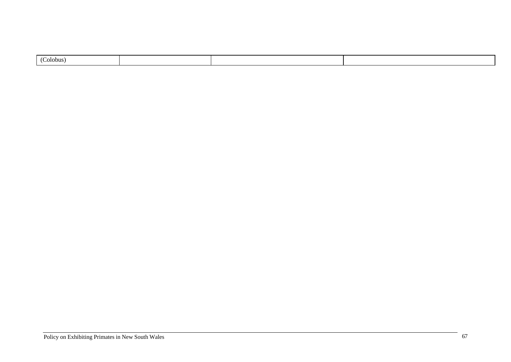|--|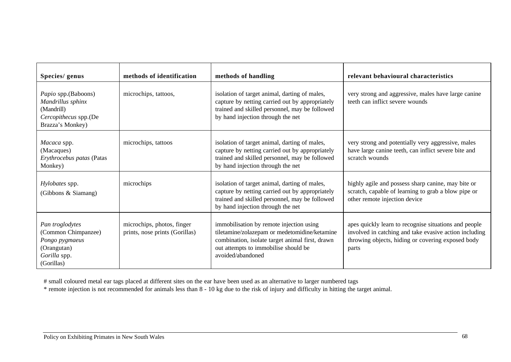| Species/ genus                                                                                        | methods of identification                                    | methods of handling                                                                                                                                                                                       | relevant behavioural characteristics                                                                                                                                          |
|-------------------------------------------------------------------------------------------------------|--------------------------------------------------------------|-----------------------------------------------------------------------------------------------------------------------------------------------------------------------------------------------------------|-------------------------------------------------------------------------------------------------------------------------------------------------------------------------------|
| Papio spp.(Baboons)<br>Mandrillus sphinx<br>(Mandrill)<br>Cercopithecus spp.(De<br>Brazza's Monkey)   | microchips, tattoos,                                         | isolation of target animal, darting of males,<br>capture by netting carried out by appropriately<br>trained and skilled personnel, may be followed<br>by hand injection through the net                   | very strong and aggressive, males have large canine<br>teeth can inflict severe wounds                                                                                        |
| Macaca spp.<br>(Macaques)<br>Erythrocebus patas (Patas<br>Monkey)                                     | microchips, tattoos                                          | isolation of target animal, darting of males,<br>capture by netting carried out by appropriately<br>trained and skilled personnel, may be followed<br>by hand injection through the net                   | very strong and potentially very aggressive, males<br>have large canine teeth, can inflict severe bite and<br>scratch wounds                                                  |
| Hylobates spp.<br>(Gibbons & Siamang)                                                                 | microchips                                                   | isolation of target animal, darting of males,<br>capture by netting carried out by appropriately<br>trained and skilled personnel, may be followed<br>by hand injection through the net                   | highly agile and possess sharp canine, may bite or<br>scratch, capable of learning to grab a blow pipe or<br>other remote injection device                                    |
| Pan troglodytes<br>(Common Chimpanzee)<br>Pongo pygmaeus<br>(Orangutan)<br>Gorilla spp.<br>(Gorillas) | microchips, photos, finger<br>prints, nose prints (Gorillas) | immobilisation by remote injection using<br>tiletamine/zolazepam or medetomidine/ketamine<br>combination, isolate target animal first, drawn<br>out attempts to immobilise should be<br>avoided/abandoned | apes quickly learn to recognise situations and people<br>involved in catching and take evasive action including<br>throwing objects, hiding or covering exposed body<br>parts |

# small coloured metal ear tags placed at different sites on the ear have been used as an alternative to larger numbered tags

\* remote injection is not recommended for animals less than 8 - 10 kg due to the risk of injury and difficulty in hitting the target animal.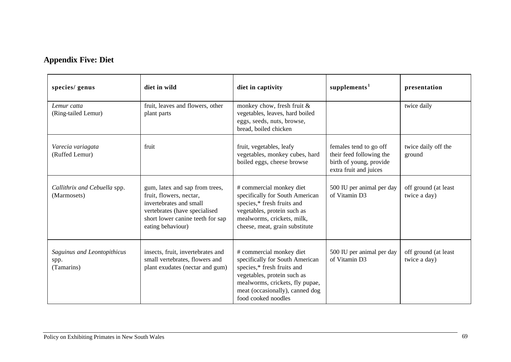# **Appendix Five: Diet**

| species/ genus                                    | diet in wild                                                                                                                                                                   | diet in captivity                                                                                                                                                                                                     | supplements <sup>1</sup>                                                                                | presentation                         |
|---------------------------------------------------|--------------------------------------------------------------------------------------------------------------------------------------------------------------------------------|-----------------------------------------------------------------------------------------------------------------------------------------------------------------------------------------------------------------------|---------------------------------------------------------------------------------------------------------|--------------------------------------|
| Lemur catta<br>(Ring-tailed Lemur)                | fruit, leaves and flowers, other<br>plant parts                                                                                                                                | monkey chow, fresh fruit &<br>vegetables, leaves, hard boiled<br>eggs, seeds, nuts, browse,<br>bread, boiled chicken                                                                                                  |                                                                                                         | twice daily                          |
| Varecia variagata<br>(Ruffed Lemur)               | fruit                                                                                                                                                                          | fruit, vegetables, leafy<br>vegetables, monkey cubes, hard<br>boiled eggs, cheese browse                                                                                                                              | females tend to go off<br>their feed following the<br>birth of young, provide<br>extra fruit and juices | twice daily off the<br>ground        |
| Callithrix and Cebuella spp.<br>(Marmosets)       | gum, latex and sap from trees,<br>fruit, flowers, nectar,<br>invertebrates and small<br>vertebrates (have specialised<br>short lower canine teeth for sap<br>eating behaviour) | # commercial monkey diet<br>specifically for South American<br>species,* fresh fruits and<br>vegetables, protein such as<br>mealworms, crickets, milk,<br>cheese, meat, grain substitute                              | 500 IU per animal per day<br>of Vitamin D3                                                              | off ground (at least<br>twice a day) |
| Saguinus and Leontopithicus<br>spp.<br>(Tamarins) | insects, fruit, invertebrates and<br>small vertebrates, flowers and<br>plant exudates (nectar and gum)                                                                         | # commercial monkey diet<br>specifically for South American<br>species,* fresh fruits and<br>vegetables, protein such as<br>mealworms, crickets, fly pupae,<br>meat (occasionally), canned dog<br>food cooked noodles | 500 IU per animal per day<br>of Vitamin D3                                                              | off ground (at least<br>twice a day) |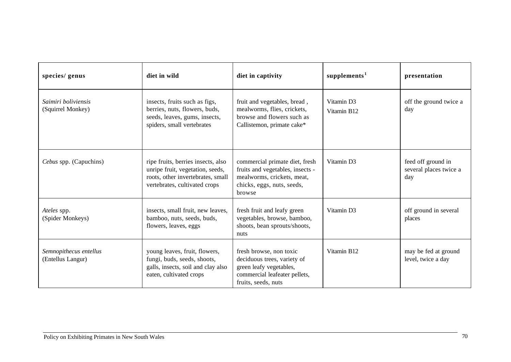| species/ genus                              | diet in wild                                                                                                                                 | diet in captivity                                                                                                                         | supplements <sup>1</sup>  | presentation                                        |
|---------------------------------------------|----------------------------------------------------------------------------------------------------------------------------------------------|-------------------------------------------------------------------------------------------------------------------------------------------|---------------------------|-----------------------------------------------------|
| Saimiri boliviensis<br>(Squirrel Monkey)    | insects, fruits such as figs,<br>berries, nuts, flowers, buds,<br>seeds, leaves, gums, insects,<br>spiders, small vertebrates                | fruit and vegetables, bread,<br>mealworms, flies, crickets,<br>browse and flowers such as<br>Callistemon, primate cake*                   | Vitamin D3<br>Vitamin B12 | off the ground twice a<br>day                       |
| Cebus spp. (Capuchins)                      | ripe fruits, berries insects, also<br>unripe fruit, vegetation, seeds,<br>roots, other invertebrates, small<br>vertebrates, cultivated crops | commercial primate diet, fresh<br>fruits and vegetables, insects -<br>mealworms, crickets, meat,<br>chicks, eggs, nuts, seeds,<br>browse  | Vitamin D3                | feed off ground in<br>several places twice a<br>day |
| Ateles spp.<br>(Spider Monkeys)             | insects, small fruit, new leaves,<br>bamboo, nuts, seeds, buds,<br>flowers, leaves, eggs                                                     | fresh fruit and leafy green<br>vegetables, browse, bamboo,<br>shoots, bean sprouts/shoots,<br>nuts                                        | Vitamin D3                | off ground in several<br>places                     |
| Semnopithecus entellus<br>(Entellus Langur) | young leaves, fruit, flowers,<br>fungi, buds, seeds, shoots,<br>galls, insects, soil and clay also<br>eaten, cultivated crops                | fresh browse, non toxic<br>deciduous trees, variety of<br>green leafy vegetables,<br>commercial leafeater pellets,<br>fruits, seeds, nuts | Vitamin B12               | may be fed at ground<br>level, twice a day          |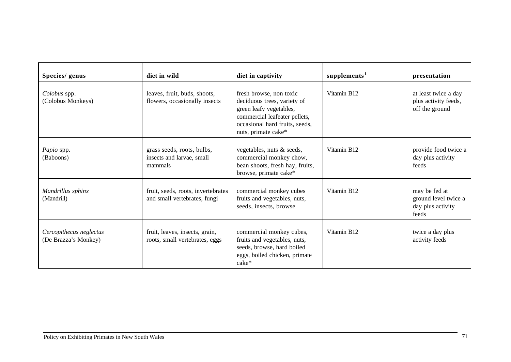| Species/ genus                                  | diet in wild                                                       | diet in captivity                                                                                                                                                           | supplements <sup>1</sup> | presentation                                                        |
|-------------------------------------------------|--------------------------------------------------------------------|-----------------------------------------------------------------------------------------------------------------------------------------------------------------------------|--------------------------|---------------------------------------------------------------------|
| Colobus spp.<br>(Colobus Monkeys)               | leaves, fruit, buds, shoots,<br>flowers, occasionally insects      | fresh browse, non toxic<br>deciduous trees, variety of<br>green leafy vegetables,<br>commercial leafeater pellets,<br>occasional hard fruits, seeds,<br>nuts, primate cake* | Vitamin B <sub>12</sub>  | at least twice a day<br>plus activity feeds,<br>off the ground      |
| Papio spp.<br>(Baboons)                         | grass seeds, roots, bulbs,<br>insects and larvae, small<br>mammals | vegetables, nuts & seeds,<br>commercial monkey chow,<br>bean shoots, fresh hay, fruits,<br>browse, primate cake*                                                            | Vitamin B12              | provide food twice a<br>day plus activity<br>feeds                  |
| Mandrillus sphinx<br>(Mandrill)                 | fruit, seeds, roots, invertebrates<br>and small vertebrates, fungi | commercial monkey cubes<br>fruits and vegetables, nuts,<br>seeds, insects, browse                                                                                           | Vitamin B12              | may be fed at<br>ground level twice a<br>day plus activity<br>feeds |
| Cercopithecus neglectus<br>(De Brazza's Monkey) | fruit, leaves, insects, grain,<br>roots, small vertebrates, eggs   | commercial monkey cubes,<br>fruits and vegetables, nuts,<br>seeds, browse, hard boiled<br>eggs, boiled chicken, primate<br>cake*                                            | Vitamin B12              | twice a day plus<br>activity feeds                                  |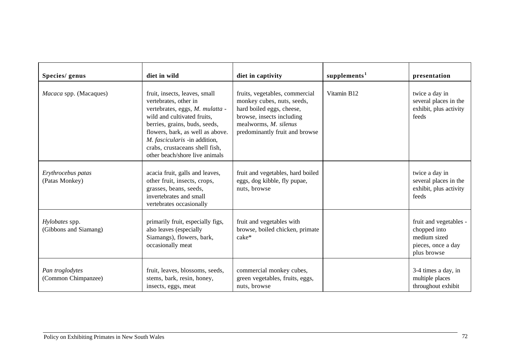| Species/ genus                          | diet in wild                                                                                                                                                                                                                                                                                       | diet in captivity                                                                                                                                                                 | supplements <sup>1</sup> | presentation                                                                                |
|-----------------------------------------|----------------------------------------------------------------------------------------------------------------------------------------------------------------------------------------------------------------------------------------------------------------------------------------------------|-----------------------------------------------------------------------------------------------------------------------------------------------------------------------------------|--------------------------|---------------------------------------------------------------------------------------------|
| Macaca spp. (Macaques)                  | fruit, insects, leaves, small<br>vertebrates, other in<br>vertebrates, eggs, M. mulatta -<br>wild and cultivated fruits,<br>berries, grains, buds, seeds,<br>flowers, bark, as well as above.<br>M. fascicularis -in addition,<br>crabs, crustaceans shell fish,<br>other beach/shore live animals | fruits, vegetables, commercial<br>monkey cubes, nuts, seeds,<br>hard boiled eggs, cheese,<br>browse, insects including<br>mealworms, M. silenus<br>predominantly fruit and browse | Vitamin B12              | twice a day in<br>several places in the<br>exhibit, plus activity<br>feeds                  |
| Erythrocebus patas<br>(Patas Monkey)    | acacia fruit, galls and leaves,<br>other fruit, insects, crops,<br>grasses, beans, seeds,<br>invertebrates and small<br>vertebrates occasionally                                                                                                                                                   | fruit and vegetables, hard boiled<br>eggs, dog kibble, fly pupae,<br>nuts, browse                                                                                                 |                          | twice a day in<br>several places in the<br>exhibit, plus activity<br>feeds                  |
| Hylobates spp.<br>(Gibbons and Siamang) | primarily fruit, especially figs,<br>also leaves (especially<br>Siamangs), flowers, bark,<br>occasionally meat                                                                                                                                                                                     | fruit and vegetables with<br>browse, boiled chicken, primate<br>$cake*$                                                                                                           |                          | fruit and vegetables -<br>chopped into<br>medium sized<br>pieces, once a day<br>plus browse |
| Pan troglodytes<br>(Common Chimpanzee)  | fruit, leaves, blossoms, seeds,<br>stems, bark, resin, honey,<br>insects, eggs, meat                                                                                                                                                                                                               | commercial monkey cubes,<br>green vegetables, fruits, eggs,<br>nuts, browse                                                                                                       |                          | 3-4 times a day, in<br>multiple places<br>throughout exhibit                                |